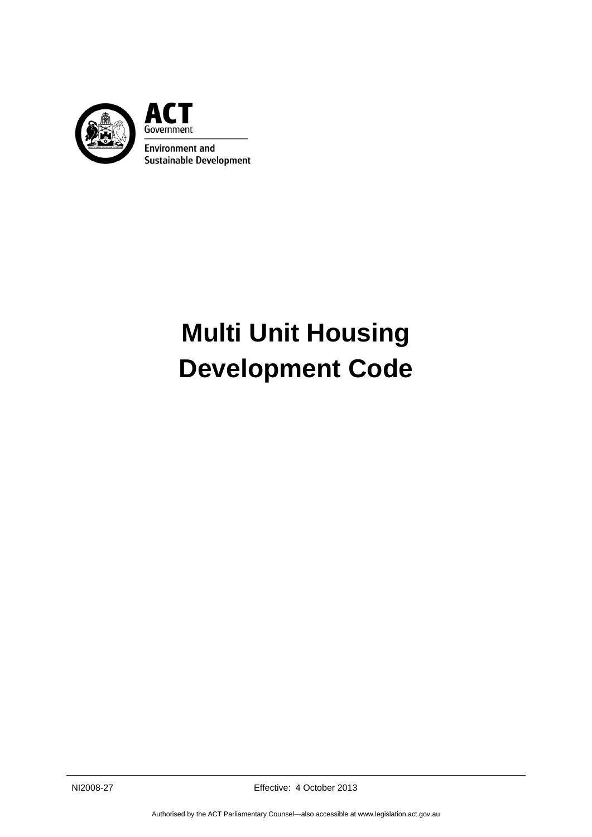

# **Multi Unit Housing Development Code**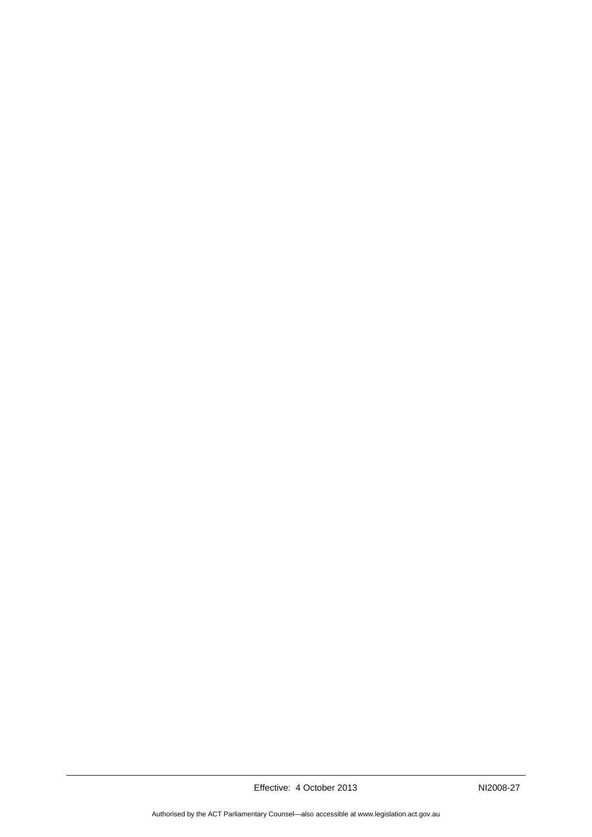Effective: 4 October 2013 NI2008-27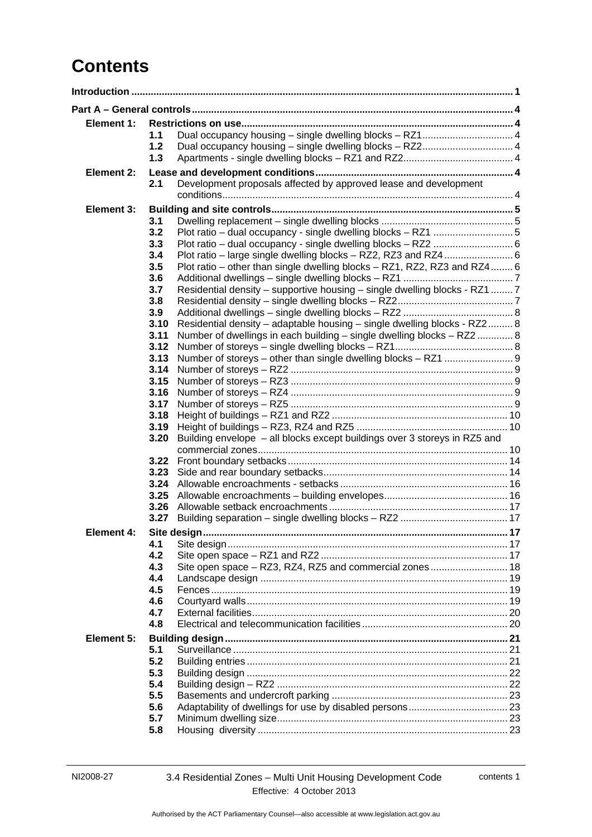# **Contents**

| Element 1:        |             |                                                                            |  |  |
|-------------------|-------------|----------------------------------------------------------------------------|--|--|
|                   | 1.1         | Dual occupancy housing - single dwelling blocks - RZ1 4                    |  |  |
|                   | 1.2         | Dual occupancy housing - single dwelling blocks - RZ2 4                    |  |  |
|                   | 1.3         |                                                                            |  |  |
| <b>Element 2:</b> |             |                                                                            |  |  |
|                   | 2.1         | Development proposals affected by approved lease and development           |  |  |
|                   |             |                                                                            |  |  |
| Element 3:        |             |                                                                            |  |  |
|                   | 3.1         |                                                                            |  |  |
|                   | 3.2         | Plot ratio - dual occupancy - single dwelling blocks - RZ1 5               |  |  |
|                   | 3.3         | Plot ratio - dual occupancy - single dwelling blocks - RZ2  6              |  |  |
|                   | 3.4         |                                                                            |  |  |
|                   | 3.5         | Plot ratio - other than single dwelling blocks - RZ1, RZ2, RZ3 and RZ4 6   |  |  |
|                   | 3.6         |                                                                            |  |  |
|                   | 3.7         | Residential density - supportive housing - single dwelling blocks - RZ1  7 |  |  |
|                   | 3.8         |                                                                            |  |  |
|                   | 3.9<br>3.10 | Residential density - adaptable housing - single dwelling blocks - RZ2 8   |  |  |
|                   | 3.11        | Number of dwellings in each building - single dwelling blocks - RZ2  8     |  |  |
|                   | 3.12        |                                                                            |  |  |
|                   | 3.13        |                                                                            |  |  |
|                   | 3.14        |                                                                            |  |  |
|                   | 3.15        |                                                                            |  |  |
|                   | 3.16        |                                                                            |  |  |
|                   | 3.17        |                                                                            |  |  |
|                   | 3.18        |                                                                            |  |  |
|                   | 3.19        |                                                                            |  |  |
|                   | 3.20        | Building envelope - all blocks except buildings over 3 storeys in RZ5 and  |  |  |
|                   | 3.22        |                                                                            |  |  |
|                   | 3.23        |                                                                            |  |  |
|                   |             |                                                                            |  |  |
|                   |             |                                                                            |  |  |
|                   | 3.26        |                                                                            |  |  |
|                   | 3.27        |                                                                            |  |  |
| <b>Element 4:</b> |             |                                                                            |  |  |
|                   | 4.1         |                                                                            |  |  |
|                   | 4.2         |                                                                            |  |  |
|                   | 4.3         | Site open space - RZ3, RZ4, RZ5 and commercial zones 18                    |  |  |
|                   | 4.4         |                                                                            |  |  |
|                   | 4.5<br>4.6  |                                                                            |  |  |
|                   | 4.7         |                                                                            |  |  |
|                   | 4.8         |                                                                            |  |  |
| Element 5:        |             |                                                                            |  |  |
|                   | 5.1         |                                                                            |  |  |
|                   | 5.2         |                                                                            |  |  |
|                   | 5.3         |                                                                            |  |  |
|                   | 5.4         |                                                                            |  |  |
|                   | 5.5         |                                                                            |  |  |
|                   | 5.6         |                                                                            |  |  |
|                   | 5.7         |                                                                            |  |  |
|                   | 5.8         |                                                                            |  |  |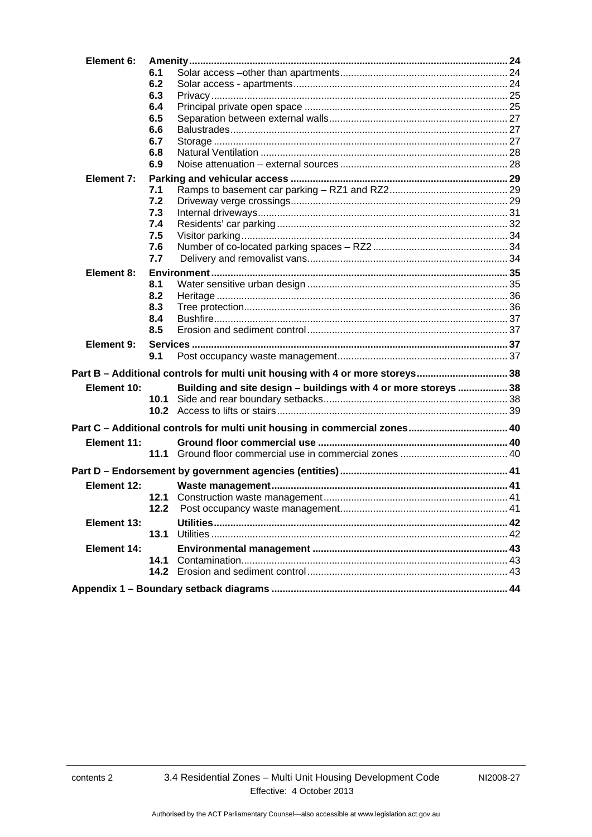| Element 6:  |            |                                                                               |  |
|-------------|------------|-------------------------------------------------------------------------------|--|
|             | 6.1        |                                                                               |  |
|             | 6.2        |                                                                               |  |
|             | 6.3        |                                                                               |  |
|             | 6.4        |                                                                               |  |
|             | 6.5        |                                                                               |  |
|             | 6.6        |                                                                               |  |
|             | 6.7        |                                                                               |  |
|             | 6.8        |                                                                               |  |
|             | 6.9        |                                                                               |  |
| Element 7:  |            |                                                                               |  |
|             | 7.1        |                                                                               |  |
|             | 7.2        |                                                                               |  |
|             | 7.3        |                                                                               |  |
|             | 7.4        |                                                                               |  |
|             | 7.5<br>7.6 |                                                                               |  |
|             | 7.7        |                                                                               |  |
|             |            |                                                                               |  |
| Element 8:  |            |                                                                               |  |
|             | 8.1        |                                                                               |  |
|             | 8.2<br>8.3 |                                                                               |  |
|             | 8.4        |                                                                               |  |
|             | 8.5        |                                                                               |  |
|             |            |                                                                               |  |
| Element 9:  | 9.1        |                                                                               |  |
|             |            |                                                                               |  |
|             |            | Part B - Additional controls for multi unit housing with 4 or more storeys 38 |  |
| Element 10: |            | Building and site design - buildings with 4 or more storeys  38               |  |
|             | 10.1       |                                                                               |  |
|             |            |                                                                               |  |
|             |            | Part C - Additional controls for multi unit housing in commercial zones 40    |  |
| Element 11: |            |                                                                               |  |
|             |            |                                                                               |  |
|             |            |                                                                               |  |
|             |            |                                                                               |  |
| Element 12: |            |                                                                               |  |
|             |            |                                                                               |  |
|             | 12.2       |                                                                               |  |
| Element 13: |            |                                                                               |  |
|             | 13.1       |                                                                               |  |
| Element 14: |            |                                                                               |  |
|             | 14.1       |                                                                               |  |
|             |            |                                                                               |  |
|             |            |                                                                               |  |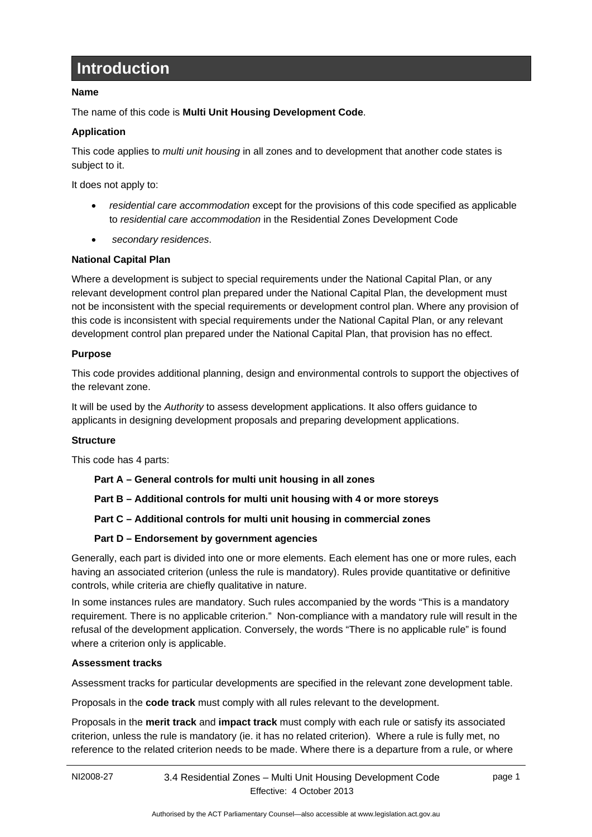# <span id="page-4-0"></span>**Introduction**

#### **Name**

The name of this code is **Multi Unit Housing Development Code**.

#### **Application**

This code applies to *multi unit housing* in all zones and to development that another code states is subject to it.

It does not apply to:

- *residential care accommodation* except for the provisions of this code specified as applicable to *residential care accommodation* in the Residential Zones Development Code
- *secondary residences*.

#### **National Capital Plan**

Where a development is subject to special requirements under the National Capital Plan, or any relevant development control plan prepared under the National Capital Plan, the development must not be inconsistent with the special requirements or development control plan. Where any provision of this code is inconsistent with special requirements under the National Capital Plan, or any relevant development control plan prepared under the National Capital Plan, that provision has no effect.

#### **Purpose**

This code provides additional planning, design and environmental controls to support the objectives of the relevant zone.

It will be used by the *Authority* to assess development applications. It also offers guidance to applicants in designing development proposals and preparing development applications.

#### **Structure**

This code has 4 parts:

**Part A – General controls for multi unit housing in all zones**

**Part B – Additional controls for multi unit housing with 4 or more storeys**

#### **Part C – Additional controls for multi unit housing in commercial zones**

#### **Part D – Endorsement by government agencies**

Generally, each part is divided into one or more elements. Each element has one or more rules, each having an associated criterion (unless the rule is mandatory). Rules provide quantitative or definitive controls, while criteria are chiefly qualitative in nature.

In some instances rules are mandatory. Such rules accompanied by the words "This is a mandatory requirement. There is no applicable criterion." Non-compliance with a mandatory rule will result in the refusal of the development application. Conversely, the words "There is no applicable rule" is found where a criterion only is applicable.

#### **Assessment tracks**

Assessment tracks for particular developments are specified in the relevant zone development table.

Proposals in the **code track** must comply with all rules relevant to the development.

Proposals in the **merit track** and **impact track** must comply with each rule or satisfy its associated criterion, unless the rule is mandatory (ie. it has no related criterion). Where a rule is fully met, no reference to the related criterion needs to be made. Where there is a departure from a rule, or where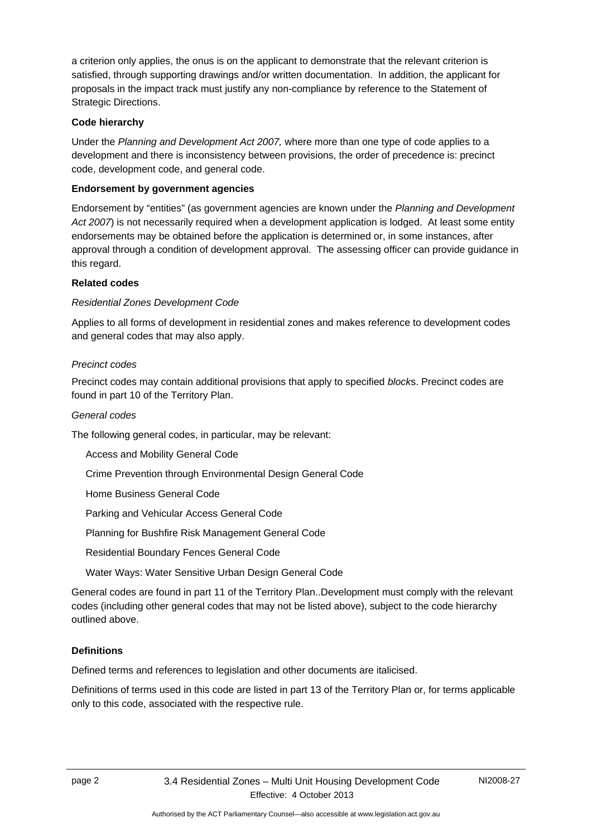a criterion only applies, the onus is on the applicant to demonstrate that the relevant criterion is satisfied, through supporting drawings and/or written documentation. In addition, the applicant for proposals in the impact track must justify any non-compliance by reference to the Statement of Strategic Directions.

#### **Code hierarchy**

Under the *Planning and Development Act 2007,* where more than one type of code applies to a development and there is inconsistency between provisions, the order of precedence is: precinct code, development code, and general code.

#### **Endorsement by government agencies**

Endorsement by "entities" (as government agencies are known under the *Planning and Development*  Act 2007) is not necessarily required when a development application is lodged. At least some entity endorsements may be obtained before the application is determined or, in some instances, after approval through a condition of development approval. The assessing officer can provide guidance in this regard.

#### **Related codes**

#### *Residential Zones Development Code*

Applies to all forms of development in residential zones and makes reference to development codes and general codes that may also apply.

#### *Precinct codes*

Precinct codes may contain additional provisions that apply to specified *block*s. Precinct codes are found in part 10 of the Territory Plan.

#### *General codes*

The following general codes, in particular, may be relevant:

Access and Mobility General Code

Crime Prevention through Environmental Design General Code

Home Business General Code

Parking and Vehicular Access General Code

Planning for Bushfire Risk Management General Code

Residential Boundary Fences General Code

Water Ways: Water Sensitive Urban Design General Code

General codes are found in part 11 of the Territory Plan..Development must comply with the relevant codes (including other general codes that may not be listed above), subject to the code hierarchy outlined above.

#### **Definitions**

Defined terms and references to legislation and other documents are italicised.

Definitions of terms used in this code are listed in part 13 of the Territory Plan or, for terms applicable only to this code, associated with the respective rule.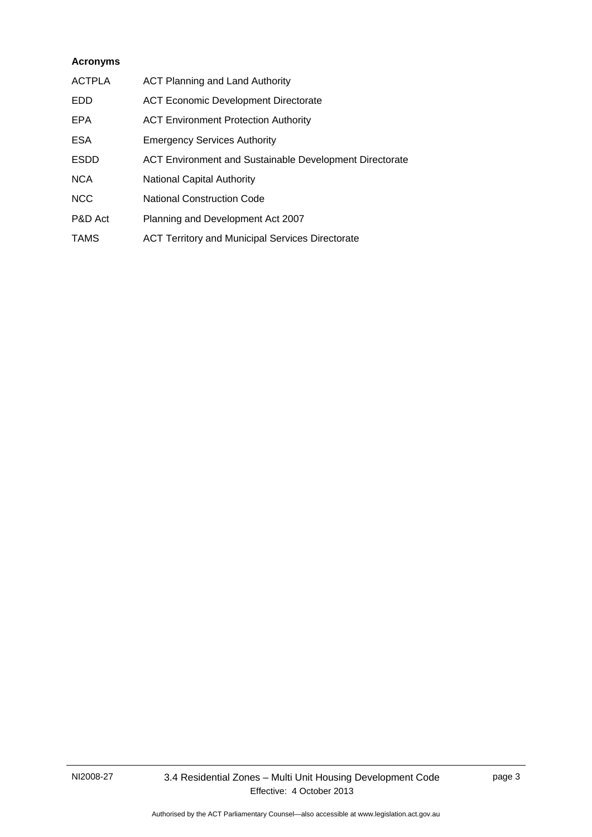#### **Acronyms**

| <b>ACTPLA</b> | <b>ACT Planning and Land Authority</b>                  |
|---------------|---------------------------------------------------------|
| <b>EDD</b>    | <b>ACT Economic Development Directorate</b>             |
| <b>EPA</b>    | <b>ACT Environment Protection Authority</b>             |
| <b>ESA</b>    | <b>Emergency Services Authority</b>                     |
| <b>ESDD</b>   | ACT Environment and Sustainable Development Directorate |
| <b>NCA</b>    | <b>National Capital Authority</b>                       |
| <b>NCC</b>    | <b>National Construction Code</b>                       |
| P&D Act       | Planning and Development Act 2007                       |
| <b>TAMS</b>   | <b>ACT Territory and Municipal Services Directorate</b> |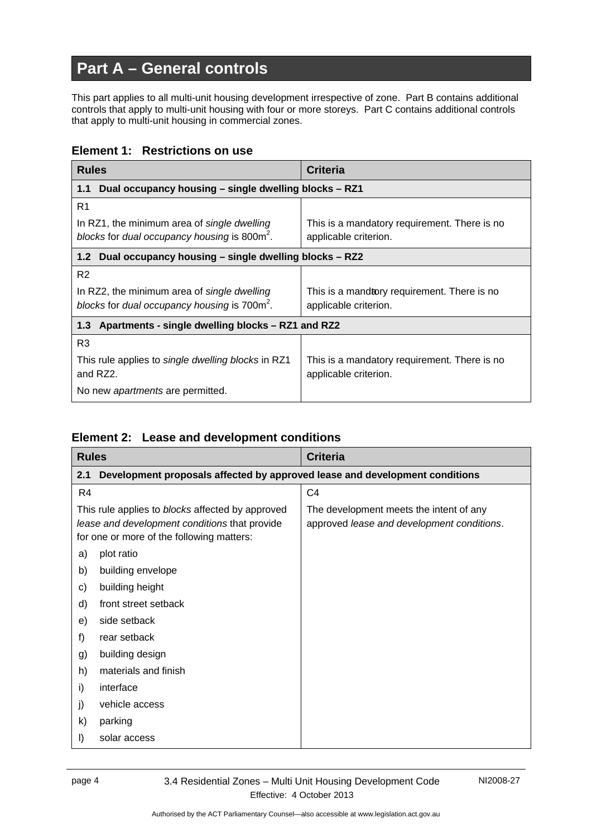# <span id="page-7-0"></span>**Part A – General controls**

This part applies to all multi-unit housing development irrespective of zone. Part B contains additional controls that apply to multi-unit housing with four or more storeys. Part C contains additional controls that apply to multi-unit housing in commercial zones.

<span id="page-7-1"></span>

| Element 1: Restrictions on use |  |
|--------------------------------|--|
|                                |  |

<span id="page-7-3"></span><span id="page-7-2"></span>

| <b>Rules</b>                                                                                            | <b>Criteria</b>                                                       |  |  |
|---------------------------------------------------------------------------------------------------------|-----------------------------------------------------------------------|--|--|
| Dual occupancy housing – single dwelling blocks – RZ1<br>1.1                                            |                                                                       |  |  |
| R <sub>1</sub>                                                                                          |                                                                       |  |  |
| In RZ1, the minimum area of single dwelling<br>blocks for dual occupancy housing is 800m <sup>2</sup> . | This is a mandatory requirement. There is no<br>applicable criterion. |  |  |
| Dual occupancy housing – single dwelling blocks – RZ2<br>1.2 <sub>2</sub>                               |                                                                       |  |  |
| R <sub>2</sub>                                                                                          |                                                                       |  |  |
| In RZ2, the minimum area of single dwelling<br>blocks for dual occupancy housing is 700m <sup>2</sup> . | This is a mandtory requirement. There is no<br>applicable criterion.  |  |  |
| Apartments - single dwelling blocks - RZ1 and RZ2<br>1.3                                                |                                                                       |  |  |
| R <sub>3</sub>                                                                                          |                                                                       |  |  |
| This rule applies to single dwelling blocks in RZ1<br>and RZ2.                                          | This is a mandatory requirement. There is no<br>applicable criterion. |  |  |
| No new <i>apartments</i> are permitted.                                                                 |                                                                       |  |  |

#### <span id="page-7-5"></span><span id="page-7-4"></span>**Element 2: Lease and development conditions**

<span id="page-7-6"></span>

| <b>Rules</b> |                                                                                            | <b>Criteria</b>                            |  |
|--------------|--------------------------------------------------------------------------------------------|--------------------------------------------|--|
| 2.1          | Development proposals affected by approved lease and development conditions                |                                            |  |
| R4           |                                                                                            | C4                                         |  |
|              | This rule applies to blocks affected by approved                                           | The development meets the intent of any    |  |
|              | lease and development conditions that provide<br>for one or more of the following matters: | approved lease and development conditions. |  |
| a)           | plot ratio                                                                                 |                                            |  |
| b)           | building envelope                                                                          |                                            |  |
| C)           | building height                                                                            |                                            |  |
| d)           | front street setback                                                                       |                                            |  |
| e)           | side setback                                                                               |                                            |  |
| f)           | rear setback                                                                               |                                            |  |
| g)           | building design                                                                            |                                            |  |
| h)           | materials and finish                                                                       |                                            |  |
| i)           | interface                                                                                  |                                            |  |
| j)           | vehicle access                                                                             |                                            |  |
| k)           | parking                                                                                    |                                            |  |
| I)           | solar access                                                                               |                                            |  |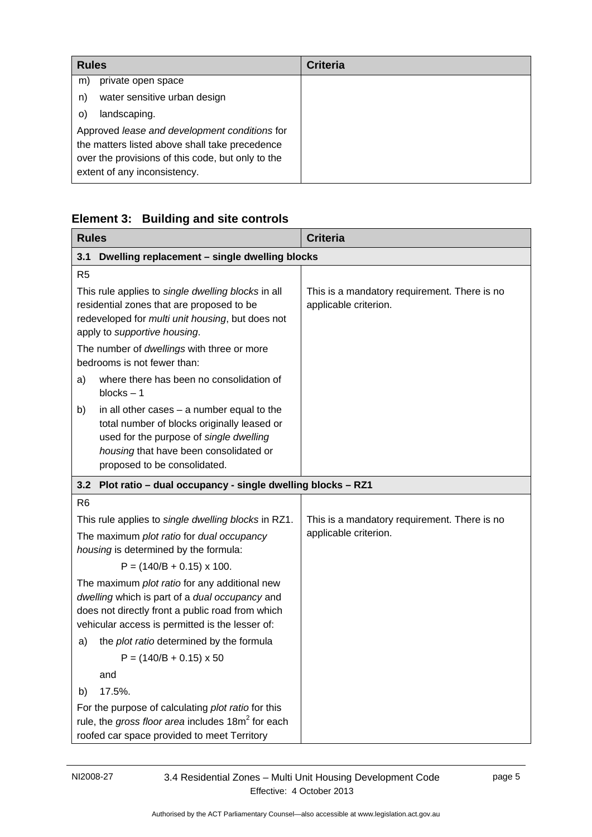| <b>Rules</b>                                      | <b>Criteria</b> |
|---------------------------------------------------|-----------------|
| private open space<br>m)                          |                 |
| water sensitive urban design<br>n)                |                 |
| landscaping.<br>O)                                |                 |
| Approved lease and development conditions for     |                 |
| the matters listed above shall take precedence    |                 |
| over the provisions of this code, but only to the |                 |
| extent of any inconsistency.                      |                 |

# **Element 3: Building and site controls**

<span id="page-8-2"></span><span id="page-8-1"></span><span id="page-8-0"></span>

| <b>Rules</b>                                                                                                                                                                                                           | <b>Criteria</b>                                                       |
|------------------------------------------------------------------------------------------------------------------------------------------------------------------------------------------------------------------------|-----------------------------------------------------------------------|
| 3.1<br>Dwelling replacement - single dwelling blocks                                                                                                                                                                   |                                                                       |
| R <sub>5</sub>                                                                                                                                                                                                         |                                                                       |
| This rule applies to single dwelling blocks in all<br>residential zones that are proposed to be<br>redeveloped for multi unit housing, but does not<br>apply to supportive housing.                                    | This is a mandatory requirement. There is no<br>applicable criterion. |
| The number of dwellings with three or more<br>bedrooms is not fewer than:                                                                                                                                              |                                                                       |
| where there has been no consolidation of<br>a)<br>$blocks - 1$                                                                                                                                                         |                                                                       |
| b)<br>in all other cases $-$ a number equal to the<br>total number of blocks originally leased or<br>used for the purpose of single dwelling<br>housing that have been consolidated or<br>proposed to be consolidated. |                                                                       |
| Plot ratio - dual occupancy - single dwelling blocks - RZ1<br>3.2                                                                                                                                                      |                                                                       |
| R6                                                                                                                                                                                                                     |                                                                       |
| This rule applies to single dwelling blocks in RZ1.                                                                                                                                                                    | This is a mandatory requirement. There is no                          |
| The maximum plot ratio for dual occupancy<br>housing is determined by the formula:                                                                                                                                     | applicable criterion.                                                 |
| $P = (140/B + 0.15) \times 100.$                                                                                                                                                                                       |                                                                       |
| The maximum plot ratio for any additional new<br>dwelling which is part of a dual occupancy and<br>does not directly front a public road from which<br>vehicular access is permitted is the lesser of:                 |                                                                       |
| a)<br>the plot ratio determined by the formula                                                                                                                                                                         |                                                                       |
| $P = (140/B + 0.15) \times 50$                                                                                                                                                                                         |                                                                       |
| and                                                                                                                                                                                                                    |                                                                       |
| 17.5%.<br>b)                                                                                                                                                                                                           |                                                                       |
| For the purpose of calculating plot ratio for this<br>rule, the gross floor area includes 18m <sup>2</sup> for each<br>roofed car space provided to meet Territory                                                     |                                                                       |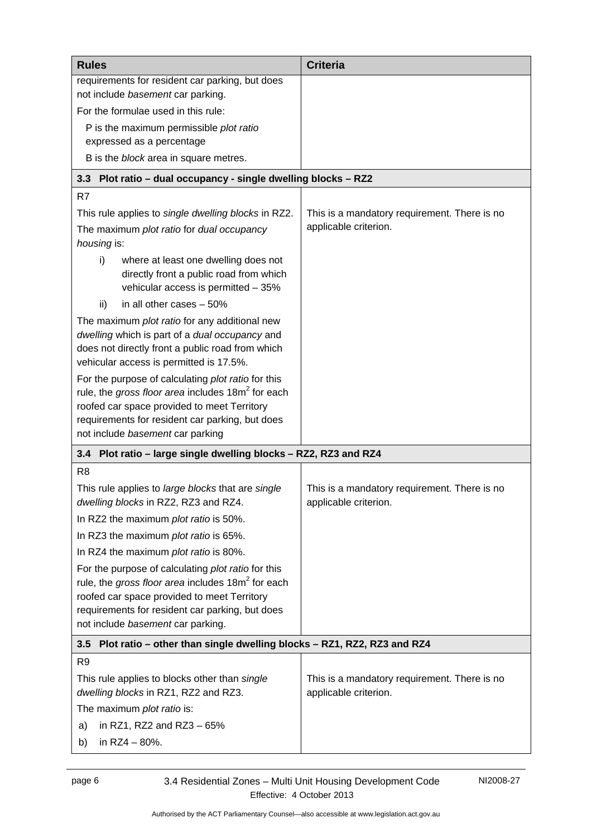<span id="page-9-2"></span><span id="page-9-1"></span><span id="page-9-0"></span>

| <b>Rules</b>                                                                                                                                                                                        | <b>Criteria</b>                                                       |
|-----------------------------------------------------------------------------------------------------------------------------------------------------------------------------------------------------|-----------------------------------------------------------------------|
| requirements for resident car parking, but does                                                                                                                                                     |                                                                       |
| not include basement car parking.                                                                                                                                                                   |                                                                       |
| For the formulae used in this rule:                                                                                                                                                                 |                                                                       |
| P is the maximum permissible plot ratio                                                                                                                                                             |                                                                       |
| expressed as a percentage                                                                                                                                                                           |                                                                       |
| B is the <i>block</i> area in square metres.                                                                                                                                                        |                                                                       |
| Plot ratio - dual occupancy - single dwelling blocks - RZ2<br>3.3                                                                                                                                   |                                                                       |
| R7                                                                                                                                                                                                  |                                                                       |
| This rule applies to single dwelling blocks in RZ2.                                                                                                                                                 | This is a mandatory requirement. There is no                          |
| The maximum plot ratio for dual occupancy<br>housing is:                                                                                                                                            | applicable criterion.                                                 |
| i)<br>where at least one dwelling does not<br>directly front a public road from which                                                                                                               |                                                                       |
| vehicular access is permitted - 35%                                                                                                                                                                 |                                                                       |
| in all other cases - 50%<br>ii)                                                                                                                                                                     |                                                                       |
| The maximum plot ratio for any additional new<br>dwelling which is part of a dual occupancy and<br>does not directly front a public road from which<br>vehicular access is permitted is 17.5%.      |                                                                       |
| For the purpose of calculating plot ratio for this                                                                                                                                                  |                                                                       |
| rule, the gross floor area includes 18m <sup>2</sup> for each<br>roofed car space provided to meet Territory<br>requirements for resident car parking, but does<br>not include basement car parking |                                                                       |
| 3.4 Plot ratio - large single dwelling blocks - RZ2, RZ3 and RZ4                                                                                                                                    |                                                                       |
| R <sub>8</sub>                                                                                                                                                                                      |                                                                       |
| This rule applies to large blocks that are single<br>dwelling blocks in RZ2, RZ3 and RZ4.                                                                                                           | This is a mandatory requirement. There is no<br>applicable criterion. |
| In RZ2 the maximum plot ratio is 50%.                                                                                                                                                               |                                                                       |
| In RZ3 the maximum <i>plot ratio</i> is 65%.                                                                                                                                                        |                                                                       |
| In RZ4 the maximum plot ratio is 80%.                                                                                                                                                               |                                                                       |
| For the purpose of calculating plot ratio for this                                                                                                                                                  |                                                                       |
| rule, the gross floor area includes 18m <sup>2</sup> for each                                                                                                                                       |                                                                       |
| roofed car space provided to meet Territory<br>requirements for resident car parking, but does                                                                                                      |                                                                       |
| not include basement car parking.                                                                                                                                                                   |                                                                       |
| Plot ratio - other than single dwelling blocks - RZ1, RZ2, RZ3 and RZ4<br>3.5                                                                                                                       |                                                                       |
| R <sub>9</sub>                                                                                                                                                                                      |                                                                       |
| This rule applies to blocks other than single                                                                                                                                                       | This is a mandatory requirement. There is no                          |
| dwelling blocks in RZ1, RZ2 and RZ3.                                                                                                                                                                | applicable criterion.                                                 |
| The maximum plot ratio is:                                                                                                                                                                          |                                                                       |
| in RZ1, RZ2 and RZ3 - 65%<br>a)                                                                                                                                                                     |                                                                       |
| in RZ4 - 80%.<br>b)                                                                                                                                                                                 |                                                                       |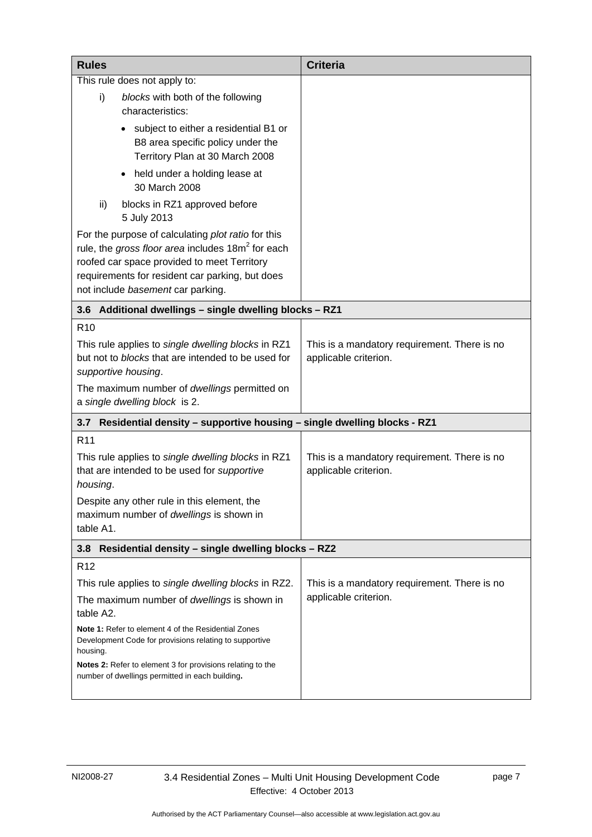<span id="page-10-2"></span><span id="page-10-1"></span><span id="page-10-0"></span>

| <b>Rules</b>                                                                                                                                                                                                                                               | <b>Criteria</b>                                                       |  |
|------------------------------------------------------------------------------------------------------------------------------------------------------------------------------------------------------------------------------------------------------------|-----------------------------------------------------------------------|--|
| This rule does not apply to:                                                                                                                                                                                                                               |                                                                       |  |
| i)<br>blocks with both of the following<br>characteristics:                                                                                                                                                                                                |                                                                       |  |
| subject to either a residential B1 or<br>B8 area specific policy under the<br>Territory Plan at 30 March 2008                                                                                                                                              |                                                                       |  |
| held under a holding lease at<br>30 March 2008                                                                                                                                                                                                             |                                                                       |  |
| blocks in RZ1 approved before<br>ii)<br>5 July 2013                                                                                                                                                                                                        |                                                                       |  |
| For the purpose of calculating plot ratio for this<br>rule, the gross floor area includes 18m <sup>2</sup> for each<br>roofed car space provided to meet Territory<br>requirements for resident car parking, but does<br>not include basement car parking. |                                                                       |  |
| 3.6 Additional dwellings - single dwelling blocks - RZ1                                                                                                                                                                                                    |                                                                       |  |
| R <sub>10</sub>                                                                                                                                                                                                                                            |                                                                       |  |
| This rule applies to single dwelling blocks in RZ1<br>but not to blocks that are intended to be used for<br>supportive housing.                                                                                                                            | This is a mandatory requirement. There is no<br>applicable criterion. |  |
| The maximum number of dwellings permitted on<br>a single dwelling block is 2.                                                                                                                                                                              |                                                                       |  |
| Residential density - supportive housing - single dwelling blocks - RZ1<br>3.7                                                                                                                                                                             |                                                                       |  |
| R <sub>11</sub><br>This rule applies to single dwelling blocks in RZ1<br>that are intended to be used for supportive<br>housing.                                                                                                                           | This is a mandatory requirement. There is no<br>applicable criterion. |  |
| Despite any other rule in this element, the<br>maximum number of dwellings is shown in<br>table A1.                                                                                                                                                        |                                                                       |  |
| Residential density - single dwelling blocks - RZ2<br>3.8                                                                                                                                                                                                  |                                                                       |  |
| R <sub>12</sub>                                                                                                                                                                                                                                            |                                                                       |  |
| This rule applies to single dwelling blocks in RZ2.                                                                                                                                                                                                        | This is a mandatory requirement. There is no                          |  |
| The maximum number of dwellings is shown in<br>table A2.                                                                                                                                                                                                   | applicable criterion.                                                 |  |
| <b>Note 1:</b> Refer to element 4 of the Residential Zones<br>Development Code for provisions relating to supportive<br>housing.                                                                                                                           |                                                                       |  |
| Notes 2: Refer to element 3 for provisions relating to the<br>number of dwellings permitted in each building.                                                                                                                                              |                                                                       |  |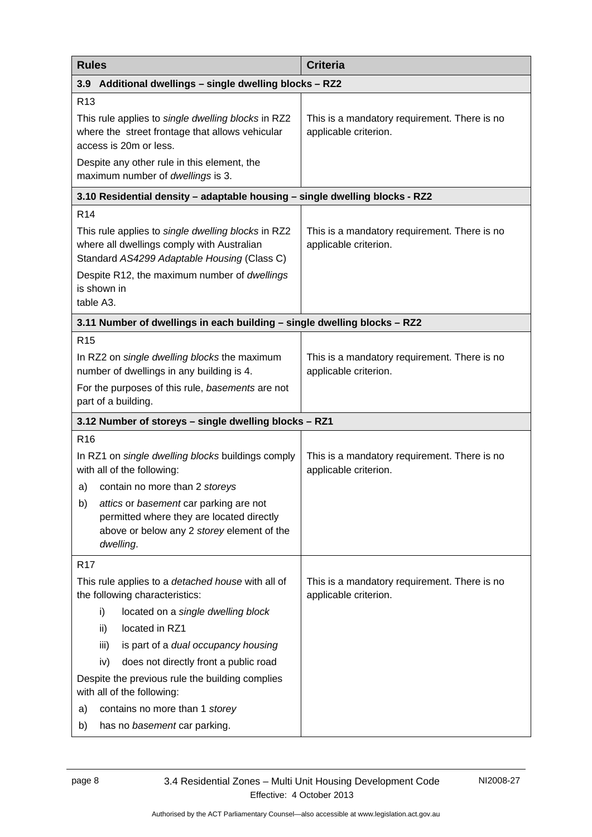<span id="page-11-3"></span><span id="page-11-2"></span><span id="page-11-1"></span><span id="page-11-0"></span>

| <b>Rules</b>                                                                                                                                                                                                                | <b>Criteria</b>                                                       |
|-----------------------------------------------------------------------------------------------------------------------------------------------------------------------------------------------------------------------------|-----------------------------------------------------------------------|
| Additional dwellings - single dwelling blocks - RZ2<br>3.9                                                                                                                                                                  |                                                                       |
| R <sub>13</sub>                                                                                                                                                                                                             |                                                                       |
| This rule applies to single dwelling blocks in RZ2<br>where the street frontage that allows vehicular<br>access is 20m or less.                                                                                             | This is a mandatory requirement. There is no<br>applicable criterion. |
| Despite any other rule in this element, the<br>maximum number of dwellings is 3.                                                                                                                                            |                                                                       |
| 3.10 Residential density - adaptable housing - single dwelling blocks - RZ2                                                                                                                                                 |                                                                       |
| R <sub>14</sub>                                                                                                                                                                                                             |                                                                       |
| This rule applies to single dwelling blocks in RZ2<br>where all dwellings comply with Australian<br>Standard AS4299 Adaptable Housing (Class C)<br>Despite R12, the maximum number of dwellings<br>is shown in<br>table A3. | This is a mandatory requirement. There is no<br>applicable criterion. |
| 3.11 Number of dwellings in each building - single dwelling blocks - RZ2                                                                                                                                                    |                                                                       |
| R <sub>15</sub>                                                                                                                                                                                                             |                                                                       |
| In RZ2 on single dwelling blocks the maximum<br>number of dwellings in any building is 4.<br>For the purposes of this rule, basements are not<br>part of a building.                                                        | This is a mandatory requirement. There is no<br>applicable criterion. |
| 3.12 Number of storeys - single dwelling blocks - RZ1                                                                                                                                                                       |                                                                       |
| R <sub>16</sub>                                                                                                                                                                                                             |                                                                       |
| In RZ1 on single dwelling blocks buildings comply<br>with all of the following:                                                                                                                                             | This is a mandatory requirement. There is no<br>applicable criterion. |
| contain no more than 2 storeys<br>a)                                                                                                                                                                                        |                                                                       |
| attics or basement car parking are not<br>b)<br>permitted where they are located directly<br>above or below any 2 storey element of the<br>dwelling.                                                                        |                                                                       |
| R <sub>17</sub>                                                                                                                                                                                                             |                                                                       |
| This rule applies to a detached house with all of<br>the following characteristics:                                                                                                                                         | This is a mandatory requirement. There is no<br>applicable criterion. |
| i)<br>located on a single dwelling block                                                                                                                                                                                    |                                                                       |
| located in RZ1<br>ii)                                                                                                                                                                                                       |                                                                       |
| iii)<br>is part of a dual occupancy housing                                                                                                                                                                                 |                                                                       |
| does not directly front a public road<br>iv)                                                                                                                                                                                |                                                                       |
| Despite the previous rule the building complies<br>with all of the following:                                                                                                                                               |                                                                       |
| a)<br>contains no more than 1 storey                                                                                                                                                                                        |                                                                       |
| has no basement car parking.<br>b)                                                                                                                                                                                          |                                                                       |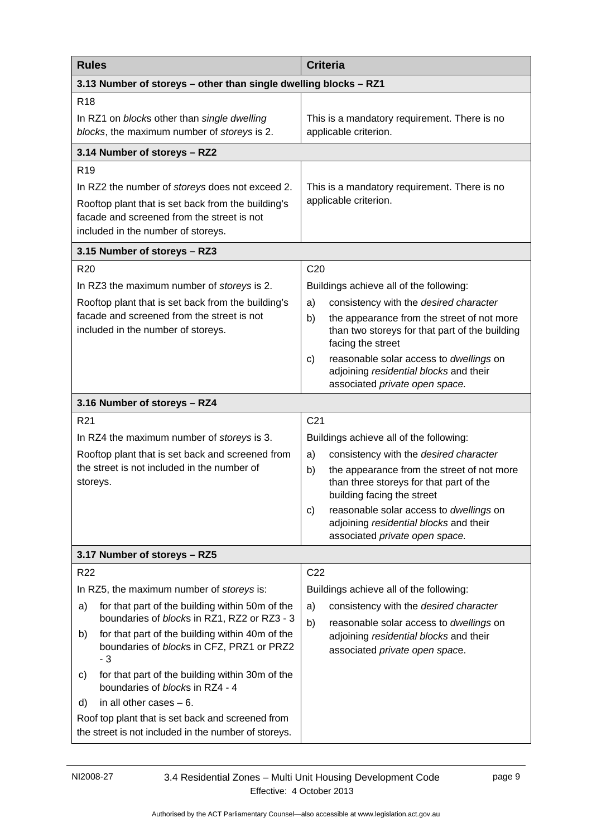<span id="page-12-4"></span><span id="page-12-3"></span><span id="page-12-2"></span><span id="page-12-1"></span><span id="page-12-0"></span>

| <b>Rules</b>                                                                                          | <b>Criteria</b>                                                                   |  |  |
|-------------------------------------------------------------------------------------------------------|-----------------------------------------------------------------------------------|--|--|
| 3.13 Number of storeys - other than single dwelling blocks - RZ1                                      |                                                                                   |  |  |
| R <sub>18</sub>                                                                                       |                                                                                   |  |  |
| In RZ1 on blocks other than single dwelling<br>blocks, the maximum number of storeys is 2.            | This is a mandatory requirement. There is no<br>applicable criterion.             |  |  |
|                                                                                                       |                                                                                   |  |  |
| 3.14 Number of storeys - RZ2                                                                          |                                                                                   |  |  |
| R <sub>19</sub>                                                                                       |                                                                                   |  |  |
| In RZ2 the number of storeys does not exceed 2.<br>Rooftop plant that is set back from the building's | This is a mandatory requirement. There is no<br>applicable criterion.             |  |  |
| facade and screened from the street is not                                                            |                                                                                   |  |  |
| included in the number of storeys.                                                                    |                                                                                   |  |  |
| 3.15 Number of storeys - RZ3                                                                          |                                                                                   |  |  |
| R <sub>20</sub>                                                                                       | C <sub>20</sub>                                                                   |  |  |
| In RZ3 the maximum number of storeys is 2.                                                            | Buildings achieve all of the following:                                           |  |  |
| Rooftop plant that is set back from the building's                                                    | a)<br>consistency with the desired character                                      |  |  |
| facade and screened from the street is not                                                            | b)<br>the appearance from the street of not more                                  |  |  |
| included in the number of storeys.                                                                    | than two storeys for that part of the building<br>facing the street               |  |  |
|                                                                                                       | reasonable solar access to dwellings on<br>C)                                     |  |  |
|                                                                                                       | adjoining residential blocks and their                                            |  |  |
|                                                                                                       | associated private open space.                                                    |  |  |
| 3.16 Number of storeys - RZ4                                                                          |                                                                                   |  |  |
| R <sub>21</sub>                                                                                       | C <sub>21</sub>                                                                   |  |  |
| In RZ4 the maximum number of <i>storeys</i> is 3.                                                     | Buildings achieve all of the following:<br>consistency with the desired character |  |  |
| Rooftop plant that is set back and screened from<br>the street is not included in the number of       | a)<br>the appearance from the street of not more<br>b)                            |  |  |
| storeys.                                                                                              | than three storeys for that part of the<br>building facing the street             |  |  |
|                                                                                                       | reasonable solar access to dwellings on<br>C)                                     |  |  |
|                                                                                                       | adjoining residential blocks and their<br>associated private open space.          |  |  |
| 3.17 Number of storeys - RZ5                                                                          |                                                                                   |  |  |
| R22                                                                                                   | C <sub>22</sub>                                                                   |  |  |
| In RZ5, the maximum number of storeys is:                                                             | Buildings achieve all of the following:                                           |  |  |
| for that part of the building within 50m of the<br>a)                                                 | consistency with the desired character<br>a)                                      |  |  |
| boundaries of blocks in RZ1, RZ2 or RZ3 - 3                                                           | b)<br>reasonable solar access to dwellings on                                     |  |  |
| for that part of the building within 40m of the<br>b)<br>boundaries of blocks in CFZ, PRZ1 or PRZ2    | adjoining residential blocks and their                                            |  |  |
| $-3$                                                                                                  | associated private open space.                                                    |  |  |
| for that part of the building within 30m of the<br>C)<br>boundaries of blocks in RZ4 - 4              |                                                                                   |  |  |
| in all other cases $-6$ .<br>d)                                                                       |                                                                                   |  |  |
| Roof top plant that is set back and screened from                                                     |                                                                                   |  |  |
| the street is not included in the number of storeys.                                                  |                                                                                   |  |  |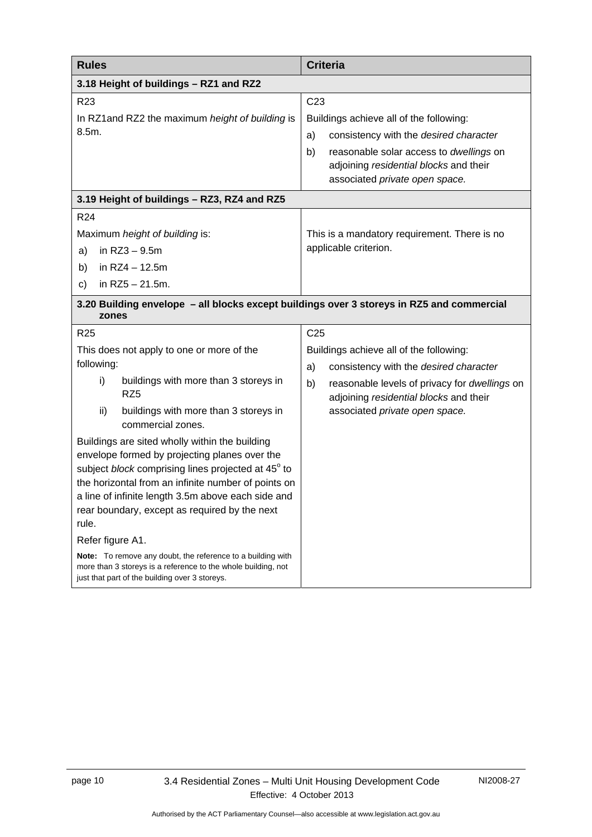<span id="page-13-2"></span><span id="page-13-1"></span><span id="page-13-0"></span>

| <b>Rules</b>                                                                                                                                                                                                                                                                                                                 | <b>Criteria</b>                                                                               |
|------------------------------------------------------------------------------------------------------------------------------------------------------------------------------------------------------------------------------------------------------------------------------------------------------------------------------|-----------------------------------------------------------------------------------------------|
| 3.18 Height of buildings - RZ1 and RZ2                                                                                                                                                                                                                                                                                       |                                                                                               |
| R <sub>23</sub>                                                                                                                                                                                                                                                                                                              | C <sub>23</sub>                                                                               |
| In RZ1 and RZ2 the maximum height of building is                                                                                                                                                                                                                                                                             | Buildings achieve all of the following:                                                       |
| 8.5m.                                                                                                                                                                                                                                                                                                                        | consistency with the desired character<br>a)                                                  |
|                                                                                                                                                                                                                                                                                                                              | b)<br>reasonable solar access to dwellings on                                                 |
|                                                                                                                                                                                                                                                                                                                              | adjoining residential blocks and their<br>associated private open space.                      |
| 3.19 Height of buildings - RZ3, RZ4 and RZ5                                                                                                                                                                                                                                                                                  |                                                                                               |
| R <sub>24</sub>                                                                                                                                                                                                                                                                                                              |                                                                                               |
| Maximum height of building is:                                                                                                                                                                                                                                                                                               | This is a mandatory requirement. There is no                                                  |
| in $RZ3 - 9.5m$<br>a)                                                                                                                                                                                                                                                                                                        | applicable criterion.                                                                         |
| b)<br>in RZ4 - 12.5m                                                                                                                                                                                                                                                                                                         |                                                                                               |
| in $RZ5 - 21.5m$ .<br>c)                                                                                                                                                                                                                                                                                                     |                                                                                               |
| 3.20 Building envelope - all blocks except buildings over 3 storeys in RZ5 and commercial<br>zones                                                                                                                                                                                                                           |                                                                                               |
| R <sub>25</sub>                                                                                                                                                                                                                                                                                                              | C <sub>25</sub>                                                                               |
| This does not apply to one or more of the                                                                                                                                                                                                                                                                                    | Buildings achieve all of the following:                                                       |
| following:                                                                                                                                                                                                                                                                                                                   | consistency with the desired character<br>a)                                                  |
| buildings with more than 3 storeys in<br>i)<br>RZ <sub>5</sub>                                                                                                                                                                                                                                                               | b)<br>reasonable levels of privacy for dwellings on<br>adjoining residential blocks and their |
| buildings with more than 3 storeys in<br>ii)<br>commercial zones.                                                                                                                                                                                                                                                            | associated private open space.                                                                |
| Buildings are sited wholly within the building<br>envelope formed by projecting planes over the<br>subject block comprising lines projected at 45° to<br>the horizontal from an infinite number of points on<br>a line of infinite length 3.5m above each side and<br>rear boundary, except as required by the next<br>rule. |                                                                                               |
| Refer figure A1.                                                                                                                                                                                                                                                                                                             |                                                                                               |
| <b>Note:</b> To remove any doubt, the reference to a building with<br>more than 3 storeys is a reference to the whole building, not<br>just that part of the building over 3 storeys.                                                                                                                                        |                                                                                               |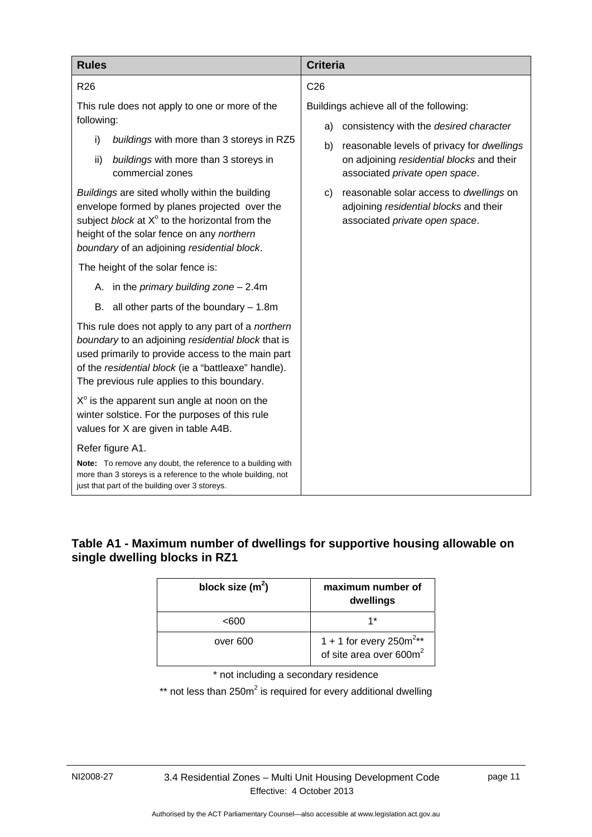| <b>Rules</b>                                                                                                                                                                                                                                                        | <b>Criteria</b>                                                                                                                 |
|---------------------------------------------------------------------------------------------------------------------------------------------------------------------------------------------------------------------------------------------------------------------|---------------------------------------------------------------------------------------------------------------------------------|
| R <sub>26</sub>                                                                                                                                                                                                                                                     | C <sub>26</sub>                                                                                                                 |
| This rule does not apply to one or more of the<br>following:                                                                                                                                                                                                        | Buildings achieve all of the following:                                                                                         |
| i)<br>buildings with more than 3 storeys in RZ5                                                                                                                                                                                                                     | consistency with the desired character<br>a)                                                                                    |
| buildings with more than 3 storeys in<br>ii)<br>commercial zones                                                                                                                                                                                                    | reasonable levels of privacy for dwellings<br>b)<br>on adjoining residential blocks and their<br>associated private open space. |
| Buildings are sited wholly within the building<br>envelope formed by planes projected over the<br>subject block at $X^{\circ}$ to the horizontal from the<br>height of the solar fence on any northern<br>boundary of an adjoining residential block.               | reasonable solar access to dwellings on<br>C)<br>adjoining residential blocks and their<br>associated private open space.       |
| The height of the solar fence is:                                                                                                                                                                                                                                   |                                                                                                                                 |
| in the <i>primary building zone</i> $-2.4m$<br>А.                                                                                                                                                                                                                   |                                                                                                                                 |
| all other parts of the boundary $-1.8m$<br>В.                                                                                                                                                                                                                       |                                                                                                                                 |
| This rule does not apply to any part of a northern<br>boundary to an adjoining residential block that is<br>used primarily to provide access to the main part<br>of the residential block (ie a "battleaxe" handle).<br>The previous rule applies to this boundary. |                                                                                                                                 |
| $X^{\circ}$ is the apparent sun angle at noon on the<br>winter solstice. For the purposes of this rule<br>values for X are given in table A4B.                                                                                                                      |                                                                                                                                 |
| Refer figure A1.                                                                                                                                                                                                                                                    |                                                                                                                                 |
| Note: To remove any doubt, the reference to a building with<br>more than 3 storeys is a reference to the whole building, not<br>just that part of the building over 3 storeys.                                                                                      |                                                                                                                                 |

#### **Table A1 - Maximum number of dwellings for supportive housing allowable on single dwelling blocks in RZ1**

| block size $(m^2)$ | maximum number of<br>dwellings                                      |
|--------------------|---------------------------------------------------------------------|
| <600               | 1*                                                                  |
| over 600           | 1 + 1 for every $250m^{2**}$<br>of site area over 600m <sup>2</sup> |

\* not including a secondary residence

 $**$  not less than 250 $m^2$  is required for every additional dwelling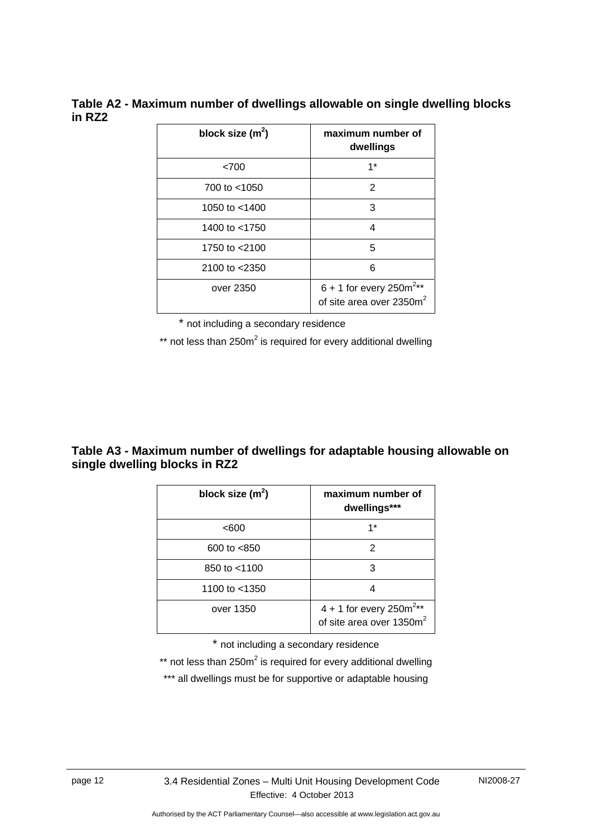**Table A2 - Maximum number of dwellings allowable on single dwelling blocks in RZ2** 

| block size $(m^2)$ | maximum number of<br>dwellings                                       |
|--------------------|----------------------------------------------------------------------|
| < 700              | $1*$                                                                 |
| 700 to <1050       | 2                                                                    |
| 1050 to $<$ 1400   | 3                                                                    |
| 1400 to $<$ 1750   | 4                                                                    |
| 1750 to $<$ 2100   | 5                                                                    |
| 2100 to $<$ 2350   | 6                                                                    |
| over 2350          | 6 + 1 for every $250m^{2**}$<br>of site area over 2350m <sup>2</sup> |

\* not including a secondary residence

 $*$  not less than 250 $m<sup>2</sup>$  is required for every additional dwelling

#### **Table A3 - Maximum number of dwellings for adaptable housing allowable on single dwelling blocks in RZ2**

| block size $(m^2)$ | maximum number of<br>dwellings***                                    |
|--------------------|----------------------------------------------------------------------|
| <600               | 1*                                                                   |
| 600 to $<850$      | 2                                                                    |
| 850 to $<$ 1100    | З                                                                    |
| 1100 to $<$ 1350   | 4                                                                    |
| over 1350          | 4 + 1 for every $250m^{2**}$<br>of site area over 1350m <sup>2</sup> |

\* not including a secondary residence

 $*$  not less than 250 $m<sup>2</sup>$  is required for every additional dwelling \*\*\* all dwellings must be for supportive or adaptable housing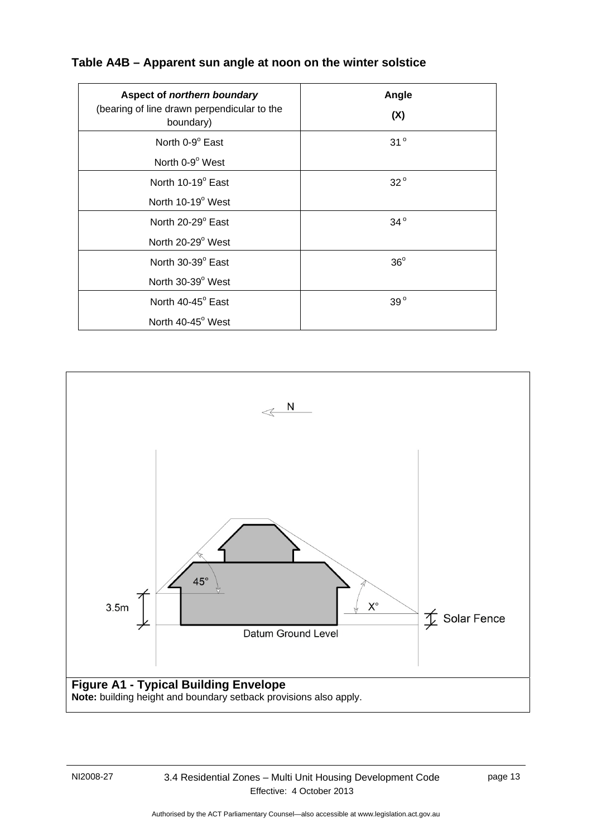| Aspect of northern boundary<br>(bearing of line drawn perpendicular to the<br>boundary) | Angle<br>(X) |
|-----------------------------------------------------------------------------------------|--------------|
| North 0-9° East                                                                         | 31°          |
| North 0-9° West                                                                         |              |
| North 10-19° East                                                                       | $32^{\circ}$ |
| North 10-19° West                                                                       |              |
| North 20-29° East                                                                       | $34^{\circ}$ |
| North 20-29° West                                                                       |              |
| North 30-39° East                                                                       | $36^\circ$   |
| North 30-39° West                                                                       |              |
| North 40-45° East                                                                       | 39°          |
| North 40-45° West                                                                       |              |

#### **Table A4B – Apparent sun angle at noon on the winter solstice**



NI2008-27 3.4 Residential Zones – Multi Unit Housing Development Code Effective: 4 October 2013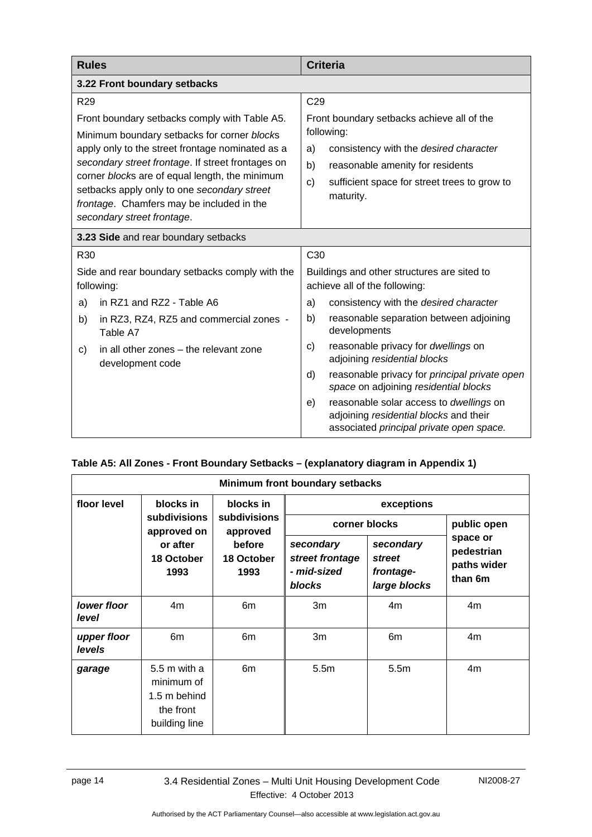<span id="page-17-1"></span><span id="page-17-0"></span>

| <b>Rules</b>                                                                                                                                                                                                                                                                                                                                                                      | <b>Criteria</b>                                                                                                                                                                                                       |  |
|-----------------------------------------------------------------------------------------------------------------------------------------------------------------------------------------------------------------------------------------------------------------------------------------------------------------------------------------------------------------------------------|-----------------------------------------------------------------------------------------------------------------------------------------------------------------------------------------------------------------------|--|
| 3.22 Front boundary setbacks                                                                                                                                                                                                                                                                                                                                                      |                                                                                                                                                                                                                       |  |
| R <sub>29</sub>                                                                                                                                                                                                                                                                                                                                                                   | C <sub>29</sub>                                                                                                                                                                                                       |  |
| Front boundary setbacks comply with Table A5.<br>Minimum boundary setbacks for corner blocks<br>apply only to the street frontage nominated as a<br>secondary street frontage. If street frontages on<br>corner blocks are of equal length, the minimum<br>setbacks apply only to one secondary street<br>frontage. Chamfers may be included in the<br>secondary street frontage. | Front boundary setbacks achieve all of the<br>following:<br>a)<br>consistency with the desired character<br>b)<br>reasonable amenity for residents<br>sufficient space for street trees to grow to<br>c)<br>maturity. |  |
| 3.23 Side and rear boundary setbacks                                                                                                                                                                                                                                                                                                                                              |                                                                                                                                                                                                                       |  |
| R30                                                                                                                                                                                                                                                                                                                                                                               | C <sub>30</sub>                                                                                                                                                                                                       |  |
| Side and rear boundary setbacks comply with the<br>following:                                                                                                                                                                                                                                                                                                                     | Buildings and other structures are sited to<br>achieve all of the following:                                                                                                                                          |  |
| in RZ1 and RZ2 - Table A6<br>a)                                                                                                                                                                                                                                                                                                                                                   | consistency with the desired character<br>a)                                                                                                                                                                          |  |
| in RZ3, RZ4, RZ5 and commercial zones -<br>b)<br>Table A7                                                                                                                                                                                                                                                                                                                         | reasonable separation between adjoining<br>b)<br>developments                                                                                                                                                         |  |
| in all other zones – the relevant zone<br>C)<br>development code                                                                                                                                                                                                                                                                                                                  | reasonable privacy for dwellings on<br>C)<br>adjoining residential blocks                                                                                                                                             |  |
|                                                                                                                                                                                                                                                                                                                                                                                   | d)<br>reasonable privacy for <i>principal private open</i><br>space on adjoining residential blocks                                                                                                                   |  |
|                                                                                                                                                                                                                                                                                                                                                                                   | reasonable solar access to dwellings on<br>e)<br>adjoining residential blocks and their<br>associated principal private open space.                                                                                   |  |

#### **Table A5: All Zones - Front Boundary Setbacks – (explanatory diagram in Appendix 1)**

| Minimum front boundary setbacks |                                                                                    |                                                          |                                                              |                                                  |                                                  |
|---------------------------------|------------------------------------------------------------------------------------|----------------------------------------------------------|--------------------------------------------------------------|--------------------------------------------------|--------------------------------------------------|
| floor level                     | blocks in<br>blocks in                                                             | exceptions                                               |                                                              |                                                  |                                                  |
|                                 | <b>subdivisions</b><br>approved on                                                 | subdivisions<br>approved<br>before<br>18 October<br>1993 | corner blocks                                                |                                                  | public open                                      |
|                                 | or after<br>18 October<br>1993                                                     |                                                          | secondary<br>street frontage<br>- mid-sized<br><b>blocks</b> | secondary<br>street<br>frontage-<br>large blocks | space or<br>pedestrian<br>paths wider<br>than 6m |
| lower floor<br>level            | 4m                                                                                 | 6 <sub>m</sub>                                           | 3m                                                           | 4m                                               | 4m                                               |
| upper floor<br>levels           | 6 <sub>m</sub>                                                                     | 6m                                                       | 3m                                                           | 6 <sub>m</sub>                                   | 4m                                               |
| garage                          | $5.5 \text{ m}$ with a<br>minimum of<br>1.5 m behind<br>the front<br>building line | 6m                                                       | 5.5m                                                         | 5.5 <sub>m</sub>                                 | 4m                                               |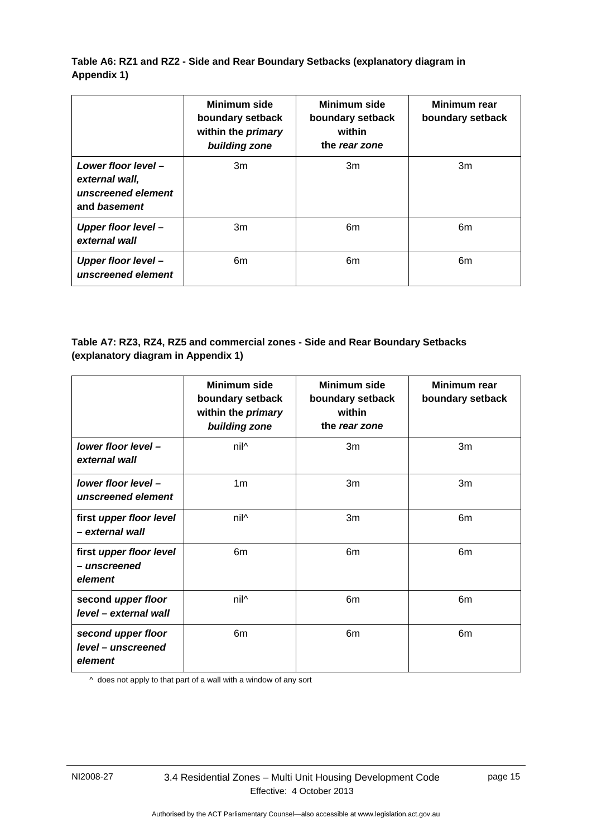**Table A6: RZ1 and RZ2 - Side and Rear Boundary Setbacks (explanatory diagram in Appendix 1)** 

|                                                                             | Minimum side<br>boundary setback<br>within the primary<br>building zone | Minimum side<br>boundary setback<br>within<br>the rear zone | Minimum rear<br>boundary setback |
|-----------------------------------------------------------------------------|-------------------------------------------------------------------------|-------------------------------------------------------------|----------------------------------|
| Lower floor level -<br>external wall,<br>unscreened element<br>and basement | 3m                                                                      | 3m                                                          | 3m                               |
| Upper floor level -<br>external wall                                        | 3m                                                                      | 6 <sub>m</sub>                                              | 6 <sub>m</sub>                   |
| Upper floor level -<br>unscreened element                                   | 6m                                                                      | 6m                                                          | 6m                               |

#### **Table A7: RZ3, RZ4, RZ5 and commercial zones - Side and Rear Boundary Setbacks (explanatory diagram in Appendix 1)**

|                                                     | Minimum side<br>boundary setback<br>within the primary<br>building zone | <b>Minimum side</b><br>boundary setback<br>within<br>the rear zone | Minimum rear<br>boundary setback |
|-----------------------------------------------------|-------------------------------------------------------------------------|--------------------------------------------------------------------|----------------------------------|
| lower floor level -<br>external wall                | nil^                                                                    | 3m                                                                 | 3m                               |
| lower floor level -<br>unscreened element           | 1 <sub>m</sub>                                                          | 3m                                                                 | 3m                               |
| first upper floor level<br>– external wall          | nil^                                                                    | 3m                                                                 | 6m                               |
| first upper floor level<br>– unscreened<br>element  | 6m                                                                      | 6 <sub>m</sub>                                                     | 6m                               |
| second upper floor<br>level - external wall         | nil^                                                                    | 6m                                                                 | 6m                               |
| second upper floor<br>level - unscreened<br>element | 6m                                                                      | 6m                                                                 | 6m                               |

^ does not apply to that part of a wall with a window of any sort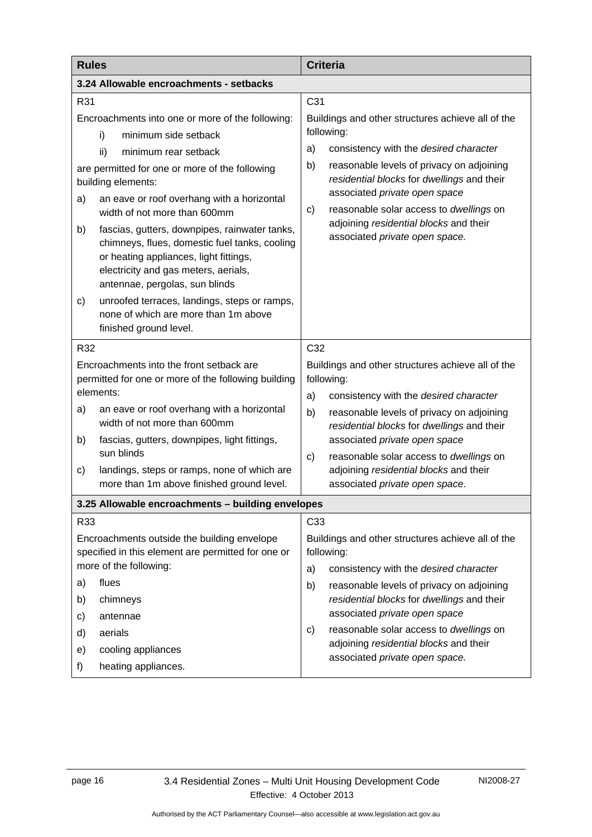<span id="page-19-1"></span><span id="page-19-0"></span>

| <b>Rules</b>                                                                                                                                                                                                             | <b>Criteria</b>                                                                                                                |  |
|--------------------------------------------------------------------------------------------------------------------------------------------------------------------------------------------------------------------------|--------------------------------------------------------------------------------------------------------------------------------|--|
| 3.24 Allowable encroachments - setbacks                                                                                                                                                                                  |                                                                                                                                |  |
| R31                                                                                                                                                                                                                      | C <sub>31</sub>                                                                                                                |  |
| Encroachments into one or more of the following:<br>i)<br>minimum side setback                                                                                                                                           | Buildings and other structures achieve all of the<br>following:                                                                |  |
| ii)<br>minimum rear setback                                                                                                                                                                                              | a)<br>consistency with the desired character                                                                                   |  |
| are permitted for one or more of the following<br>building elements:                                                                                                                                                     | b)<br>reasonable levels of privacy on adjoining<br>residential blocks for dwellings and their<br>associated private open space |  |
| a)<br>an eave or roof overhang with a horizontal<br>width of not more than 600mm                                                                                                                                         | reasonable solar access to dwellings on<br>C)                                                                                  |  |
| fascias, gutters, downpipes, rainwater tanks,<br>b)<br>chimneys, flues, domestic fuel tanks, cooling<br>or heating appliances, light fittings,<br>electricity and gas meters, aerials,<br>antennae, pergolas, sun blinds | adjoining residential blocks and their<br>associated private open space.                                                       |  |
| unroofed terraces, landings, steps or ramps,<br>C)<br>none of which are more than 1m above<br>finished ground level.                                                                                                     |                                                                                                                                |  |
| R32                                                                                                                                                                                                                      | C32                                                                                                                            |  |
| Encroachments into the front setback are<br>permitted for one or more of the following building                                                                                                                          | Buildings and other structures achieve all of the<br>following:                                                                |  |
| elements:                                                                                                                                                                                                                | a)<br>consistency with the desired character                                                                                   |  |
| an eave or roof overhang with a horizontal<br>a)<br>width of not more than 600mm                                                                                                                                         | reasonable levels of privacy on adjoining<br>b)<br>residential blocks for dwellings and their                                  |  |
| b)<br>fascias, gutters, downpipes, light fittings,<br>sun blinds                                                                                                                                                         | associated private open space                                                                                                  |  |
| landings, steps or ramps, none of which are<br>C)<br>more than 1m above finished ground level.                                                                                                                           | reasonable solar access to dwellings on<br>c)<br>adjoining residential blocks and their<br>associated private open space.      |  |
| 3.25 Allowable encroachments - building envelopes                                                                                                                                                                        |                                                                                                                                |  |
| R33                                                                                                                                                                                                                      | C33                                                                                                                            |  |
| Encroachments outside the building envelope<br>specified in this element are permitted for one or                                                                                                                        | Buildings and other structures achieve all of the<br>following:                                                                |  |
| more of the following:                                                                                                                                                                                                   | a)<br>consistency with the desired character                                                                                   |  |
| flues<br>a)<br>b)<br>chimneys                                                                                                                                                                                            | reasonable levels of privacy on adjoining<br>b)<br>residential blocks for dwellings and their                                  |  |
| c)<br>antennae                                                                                                                                                                                                           | associated private open space                                                                                                  |  |
| d)<br>aerials                                                                                                                                                                                                            | reasonable solar access to dwellings on<br>C)                                                                                  |  |
| cooling appliances<br>e)                                                                                                                                                                                                 | adjoining residential blocks and their                                                                                         |  |
| heating appliances.<br>f)                                                                                                                                                                                                | associated private open space.                                                                                                 |  |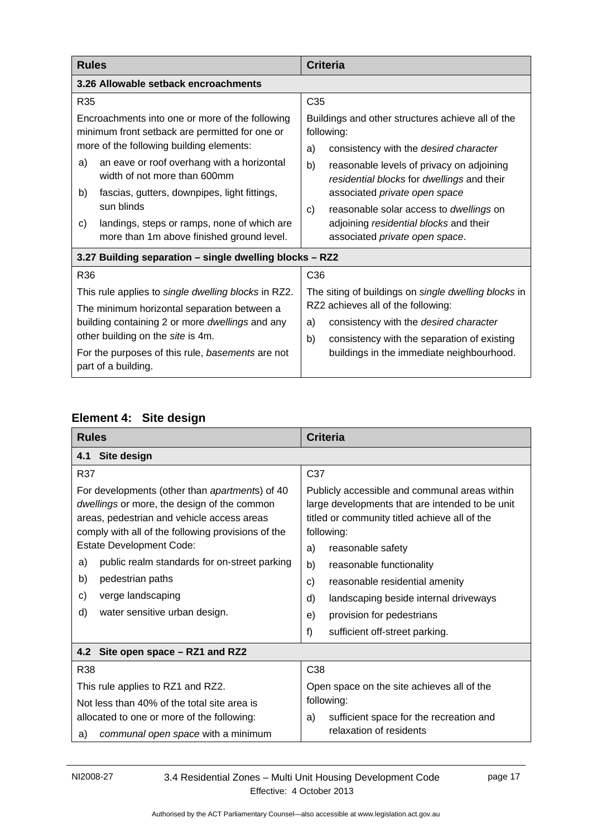<span id="page-20-0"></span>

| <b>Rules</b>                                                                                      | <b>Criteria</b>                                                                               |  |
|---------------------------------------------------------------------------------------------------|-----------------------------------------------------------------------------------------------|--|
| 3.26 Allowable setback encroachments                                                              |                                                                                               |  |
| R35                                                                                               | C <sub>35</sub>                                                                               |  |
| Encroachments into one or more of the following<br>minimum front setback are permitted for one or | Buildings and other structures achieve all of the<br>following:                               |  |
| more of the following building elements:                                                          | a)<br>consistency with the desired character                                                  |  |
| a)<br>an eave or roof overhang with a horizontal<br>width of not more than 600mm                  | b)<br>reasonable levels of privacy on adjoining<br>residential blocks for dwellings and their |  |
| fascias, gutters, downpipes, light fittings,<br>b)                                                | associated private open space                                                                 |  |
| sun blinds                                                                                        | reasonable solar access to dwellings on<br>C)                                                 |  |
| landings, steps or ramps, none of which are<br>C)<br>more than 1m above finished ground level.    | adjoining residential blocks and their<br>associated private open space.                      |  |
| 3.27 Building separation - single dwelling blocks - RZ2                                           |                                                                                               |  |
| R36                                                                                               | C36                                                                                           |  |
| This rule applies to single dwelling blocks in RZ2.                                               | The siting of buildings on single dwelling blocks in                                          |  |
| The minimum horizontal separation between a                                                       | RZ2 achieves all of the following:                                                            |  |
| building containing 2 or more dwellings and any                                                   | consistency with the desired character<br>a)                                                  |  |
| other building on the site is 4m.                                                                 | b)<br>consistency with the separation of existing                                             |  |
| For the purposes of this rule, basements are not<br>part of a building.                           | buildings in the immediate neighbourhood.                                                     |  |

#### <span id="page-20-2"></span><span id="page-20-1"></span>**Element 4: Site design**

<span id="page-20-4"></span><span id="page-20-3"></span>

| <b>Rules</b>                                                                                                                                                                                                                                                                                                                                                                           | <b>Criteria</b>                                                                                                                                                                                                                                                                                                                                                                                |  |
|----------------------------------------------------------------------------------------------------------------------------------------------------------------------------------------------------------------------------------------------------------------------------------------------------------------------------------------------------------------------------------------|------------------------------------------------------------------------------------------------------------------------------------------------------------------------------------------------------------------------------------------------------------------------------------------------------------------------------------------------------------------------------------------------|--|
| 4.1 Site design                                                                                                                                                                                                                                                                                                                                                                        |                                                                                                                                                                                                                                                                                                                                                                                                |  |
| R37                                                                                                                                                                                                                                                                                                                                                                                    | C37                                                                                                                                                                                                                                                                                                                                                                                            |  |
| For developments (other than apartments) of 40<br>dwellings or more, the design of the common<br>areas, pedestrian and vehicle access areas<br>comply with all of the following provisions of the<br><b>Estate Development Code:</b><br>public realm standards for on-street parking<br>a)<br>b)<br>pedestrian paths<br>verge landscaping<br>c)<br>d)<br>water sensitive urban design. | Publicly accessible and communal areas within<br>large developments that are intended to be unit<br>titled or community titled achieve all of the<br>following:<br>reasonable safety<br>a)<br>b)<br>reasonable functionality<br>reasonable residential amenity<br>C)<br>d)<br>landscaping beside internal driveways<br>provision for pedestrians<br>e)<br>f)<br>sufficient off-street parking. |  |
|                                                                                                                                                                                                                                                                                                                                                                                        |                                                                                                                                                                                                                                                                                                                                                                                                |  |
| 4.2 Site open space – RZ1 and RZ2                                                                                                                                                                                                                                                                                                                                                      |                                                                                                                                                                                                                                                                                                                                                                                                |  |
| <b>R38</b>                                                                                                                                                                                                                                                                                                                                                                             | C38                                                                                                                                                                                                                                                                                                                                                                                            |  |
| This rule applies to RZ1 and RZ2.<br>Not less than 40% of the total site area is                                                                                                                                                                                                                                                                                                       | Open space on the site achieves all of the<br>following:                                                                                                                                                                                                                                                                                                                                       |  |
| allocated to one or more of the following:<br>communal open space with a minimum<br>a)                                                                                                                                                                                                                                                                                                 | sufficient space for the recreation and<br>a)<br>relaxation of residents                                                                                                                                                                                                                                                                                                                       |  |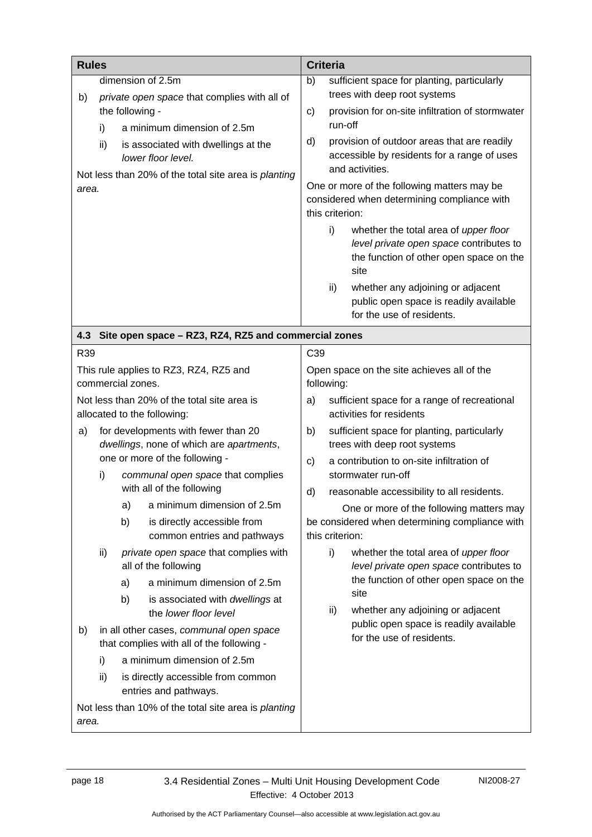<span id="page-21-0"></span>

| <b>Rules</b>                                                                               | <b>Criteria</b>                                                                                                                           |
|--------------------------------------------------------------------------------------------|-------------------------------------------------------------------------------------------------------------------------------------------|
| dimension of 2.5m                                                                          | sufficient space for planting, particularly<br>b)                                                                                         |
| b)<br>private open space that complies with all of                                         | trees with deep root systems                                                                                                              |
| the following -                                                                            | provision for on-site infiltration of stormwater<br>c)                                                                                    |
| a minimum dimension of 2.5m<br>i)                                                          | run-off                                                                                                                                   |
| ii)<br>is associated with dwellings at the<br>lower floor level.                           | provision of outdoor areas that are readily<br>d)<br>accessible by residents for a range of uses                                          |
| Not less than 20% of the total site area is planting                                       | and activities.                                                                                                                           |
| area.                                                                                      | One or more of the following matters may be<br>considered when determining compliance with<br>this criterion:                             |
|                                                                                            | i)<br>whether the total area of upper floor<br>level private open space contributes to<br>the function of other open space on the<br>site |
|                                                                                            | whether any adjoining or adjacent<br>ii)<br>public open space is readily available<br>for the use of residents.                           |
| 4.3 Site open space - RZ3, RZ4, RZ5 and commercial zones                                   |                                                                                                                                           |
| R39                                                                                        | C <sub>39</sub>                                                                                                                           |
| This rule applies to RZ3, RZ4, RZ5 and                                                     | Open space on the site achieves all of the                                                                                                |
| commercial zones.                                                                          | following:                                                                                                                                |
| Not less than 20% of the total site area is<br>allocated to the following:                 | sufficient space for a range of recreational<br>a)<br>activities for residents                                                            |
| for developments with fewer than 20<br>a)                                                  | sufficient space for planting, particularly<br>b)                                                                                         |
| dwellings, none of which are apartments,                                                   | trees with deep root systems                                                                                                              |
| one or more of the following -                                                             | a contribution to on-site infiltration of<br>C)                                                                                           |
| communal open space that complies<br>i)<br>with all of the following                       | stormwater run-off                                                                                                                        |
| a minimum dimension of 2.5m<br>a)                                                          | reasonable accessibility to all residents.<br>d)                                                                                          |
| b)<br>is directly accessible from                                                          | One or more of the following matters may<br>be considered when determining compliance with                                                |
| common entries and pathways                                                                | this criterion:                                                                                                                           |
| private open space that complies with<br>ii)<br>all of the following                       | i)<br>whether the total area of upper floor<br>level private open space contributes to                                                    |
| a minimum dimension of 2.5m<br>a)                                                          | the function of other open space on the                                                                                                   |
| is associated with dwellings at<br>b)<br>the lower floor level                             | site<br>whether any adjoining or adjacent<br>ii)                                                                                          |
| b)<br>in all other cases, communal open space<br>that complies with all of the following - | public open space is readily available<br>for the use of residents.                                                                       |
| a minimum dimension of 2.5m<br>i)                                                          |                                                                                                                                           |
| is directly accessible from common<br>ii)<br>entries and pathways.                         |                                                                                                                                           |
| Not less than 10% of the total site area is planting                                       |                                                                                                                                           |
| area.                                                                                      |                                                                                                                                           |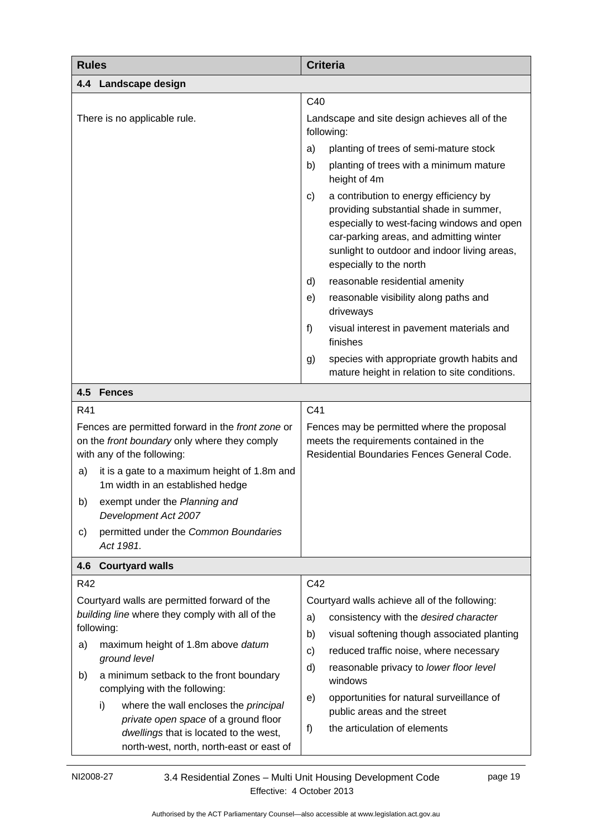<span id="page-22-2"></span><span id="page-22-1"></span><span id="page-22-0"></span>

| <b>Rules</b>                                                                                                                    |                                                                                                                                                                           | <b>Criteria</b>                                                                                                                                                                                                                                            |  |
|---------------------------------------------------------------------------------------------------------------------------------|---------------------------------------------------------------------------------------------------------------------------------------------------------------------------|------------------------------------------------------------------------------------------------------------------------------------------------------------------------------------------------------------------------------------------------------------|--|
|                                                                                                                                 | 4.4 Landscape design                                                                                                                                                      |                                                                                                                                                                                                                                                            |  |
|                                                                                                                                 |                                                                                                                                                                           | C40                                                                                                                                                                                                                                                        |  |
| There is no applicable rule.                                                                                                    |                                                                                                                                                                           | Landscape and site design achieves all of the<br>following:                                                                                                                                                                                                |  |
|                                                                                                                                 |                                                                                                                                                                           | planting of trees of semi-mature stock<br>a)                                                                                                                                                                                                               |  |
|                                                                                                                                 |                                                                                                                                                                           | planting of trees with a minimum mature<br>b)<br>height of 4m                                                                                                                                                                                              |  |
|                                                                                                                                 |                                                                                                                                                                           | a contribution to energy efficiency by<br>c)<br>providing substantial shade in summer,<br>especially to west-facing windows and open<br>car-parking areas, and admitting winter<br>sunlight to outdoor and indoor living areas,<br>especially to the north |  |
|                                                                                                                                 |                                                                                                                                                                           | reasonable residential amenity<br>d)                                                                                                                                                                                                                       |  |
|                                                                                                                                 |                                                                                                                                                                           | reasonable visibility along paths and<br>e)<br>driveways                                                                                                                                                                                                   |  |
|                                                                                                                                 |                                                                                                                                                                           | visual interest in pavement materials and<br>f)<br>finishes                                                                                                                                                                                                |  |
|                                                                                                                                 |                                                                                                                                                                           | species with appropriate growth habits and<br>g)<br>mature height in relation to site conditions.                                                                                                                                                          |  |
|                                                                                                                                 | 4.5 Fences                                                                                                                                                                |                                                                                                                                                                                                                                                            |  |
| R41                                                                                                                             |                                                                                                                                                                           | C41                                                                                                                                                                                                                                                        |  |
| Fences are permitted forward in the front zone or<br>on the front boundary only where they comply<br>with any of the following: |                                                                                                                                                                           | Fences may be permitted where the proposal<br>meets the requirements contained in the<br>Residential Boundaries Fences General Code.                                                                                                                       |  |
| a)                                                                                                                              | it is a gate to a maximum height of 1.8m and<br>1m width in an established hedge                                                                                          |                                                                                                                                                                                                                                                            |  |
| b)                                                                                                                              | exempt under the Planning and<br>Development Act 2007                                                                                                                     |                                                                                                                                                                                                                                                            |  |
| c)                                                                                                                              | permitted under the Common Boundaries<br>Act 1981.                                                                                                                        |                                                                                                                                                                                                                                                            |  |
| 4.6                                                                                                                             | <b>Courtyard walls</b>                                                                                                                                                    |                                                                                                                                                                                                                                                            |  |
| R42                                                                                                                             |                                                                                                                                                                           | C42                                                                                                                                                                                                                                                        |  |
| a)                                                                                                                              | Courtyard walls are permitted forward of the<br>building line where they comply with all of the<br>following:<br>maximum height of 1.8m above datum                       | Courtyard walls achieve all of the following:<br>consistency with the desired character<br>a)<br>visual softening though associated planting<br>b)<br>reduced traffic noise, where necessary<br>c)                                                         |  |
|                                                                                                                                 | ground level                                                                                                                                                              | reasonable privacy to lower floor level<br>d)                                                                                                                                                                                                              |  |
| b)                                                                                                                              | a minimum setback to the front boundary<br>complying with the following:                                                                                                  | windows<br>opportunities for natural surveillance of<br>e)                                                                                                                                                                                                 |  |
|                                                                                                                                 | where the wall encloses the principal<br>i)<br>private open space of a ground floor<br>dwellings that is located to the west,<br>north-west, north, north-east or east of | public areas and the street<br>the articulation of elements<br>f)                                                                                                                                                                                          |  |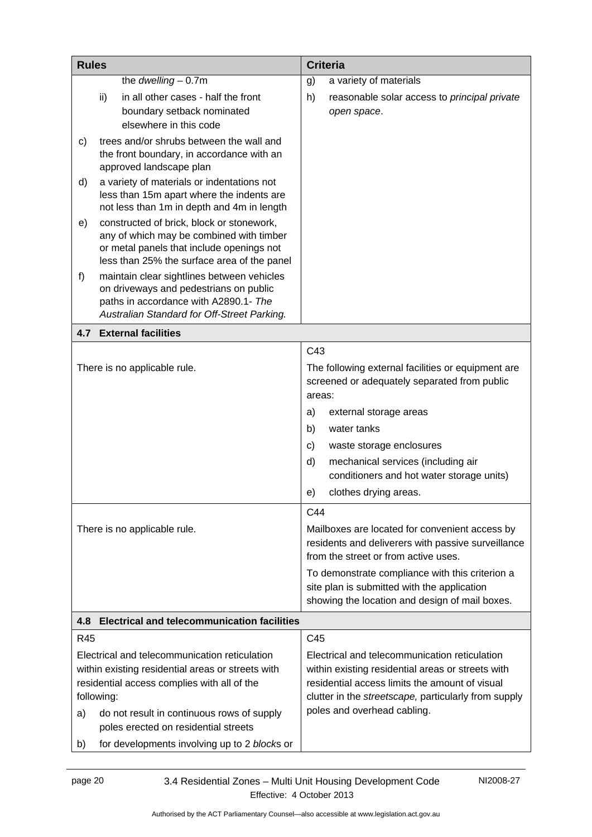<span id="page-23-1"></span><span id="page-23-0"></span>

| <b>Rules</b> |                                                                                                                                                                                   | <b>Criteria</b> |                                                                                                                                                                                                                                             |
|--------------|-----------------------------------------------------------------------------------------------------------------------------------------------------------------------------------|-----------------|---------------------------------------------------------------------------------------------------------------------------------------------------------------------------------------------------------------------------------------------|
|              | the dwelling $-0.7m$                                                                                                                                                              | g)              | a variety of materials                                                                                                                                                                                                                      |
|              | ii)<br>in all other cases - half the front<br>boundary setback nominated<br>elsewhere in this code                                                                                | h)              | reasonable solar access to <i>principal private</i><br>open space.                                                                                                                                                                          |
| c)           | trees and/or shrubs between the wall and<br>the front boundary, in accordance with an<br>approved landscape plan                                                                  |                 |                                                                                                                                                                                                                                             |
| d)           | a variety of materials or indentations not<br>less than 15m apart where the indents are<br>not less than 1m in depth and 4m in length                                             |                 |                                                                                                                                                                                                                                             |
| e)           | constructed of brick, block or stonework,<br>any of which may be combined with timber<br>or metal panels that include openings not<br>less than 25% the surface area of the panel |                 |                                                                                                                                                                                                                                             |
| f)           | maintain clear sightlines between vehicles<br>on driveways and pedestrians on public<br>paths in accordance with A2890.1- The<br>Australian Standard for Off-Street Parking.      |                 |                                                                                                                                                                                                                                             |
| 4.7          | <b>External facilities</b>                                                                                                                                                        |                 |                                                                                                                                                                                                                                             |
|              | There is no applicable rule.                                                                                                                                                      | C43<br>areas:   | The following external facilities or equipment are<br>screened or adequately separated from public                                                                                                                                          |
|              |                                                                                                                                                                                   | a)              | external storage areas                                                                                                                                                                                                                      |
|              |                                                                                                                                                                                   | b)              | water tanks                                                                                                                                                                                                                                 |
|              |                                                                                                                                                                                   | C)              | waste storage enclosures                                                                                                                                                                                                                    |
|              |                                                                                                                                                                                   | d)              | mechanical services (including air<br>conditioners and hot water storage units)                                                                                                                                                             |
|              |                                                                                                                                                                                   | e)              | clothes drying areas.                                                                                                                                                                                                                       |
|              |                                                                                                                                                                                   | C44             |                                                                                                                                                                                                                                             |
|              | There is no applicable rule.                                                                                                                                                      |                 | Mailboxes are located for convenient access by<br>residents and deliverers with passive surveillance<br>from the street or from active uses.                                                                                                |
|              |                                                                                                                                                                                   |                 | To demonstrate compliance with this criterion a<br>site plan is submitted with the application<br>showing the location and design of mail boxes.                                                                                            |
| 4.8          | <b>Electrical and telecommunication facilities</b>                                                                                                                                |                 |                                                                                                                                                                                                                                             |
| R45          |                                                                                                                                                                                   | C45             |                                                                                                                                                                                                                                             |
|              | Electrical and telecommunication reticulation<br>within existing residential areas or streets with<br>residential access complies with all of the<br>following:                   |                 | Electrical and telecommunication reticulation<br>within existing residential areas or streets with<br>residential access limits the amount of visual<br>clutter in the streetscape, particularly from supply<br>poles and overhead cabling. |
| a)<br>b)     | do not result in continuous rows of supply<br>poles erected on residential streets<br>for developments involving up to 2 blocks or                                                |                 |                                                                                                                                                                                                                                             |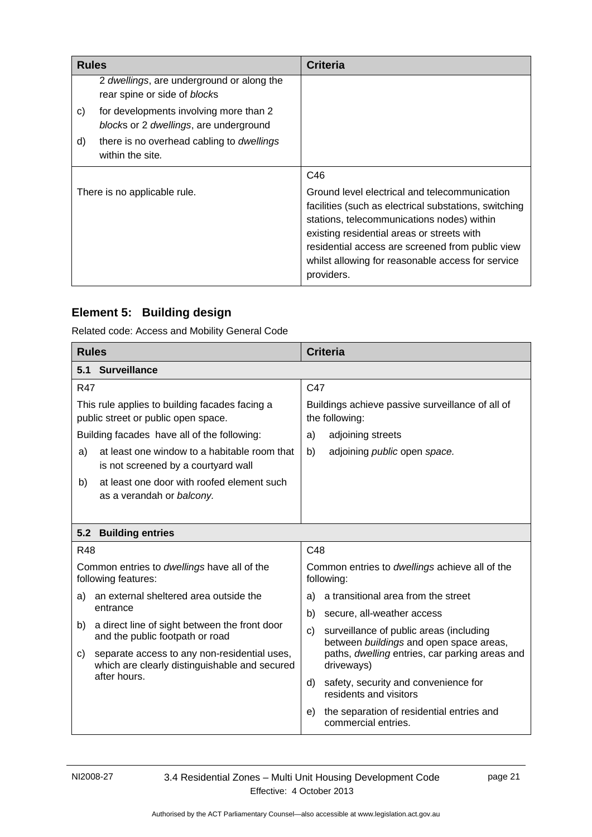| <b>Rules</b> |                                                                                  | <b>Criteria</b>                                                                                                                                                                                                                                                                                                           |
|--------------|----------------------------------------------------------------------------------|---------------------------------------------------------------------------------------------------------------------------------------------------------------------------------------------------------------------------------------------------------------------------------------------------------------------------|
|              | 2 dwellings, are underground or along the<br>rear spine or side of blocks        |                                                                                                                                                                                                                                                                                                                           |
| C)           | for developments involving more than 2<br>blocks or 2 dwellings, are underground |                                                                                                                                                                                                                                                                                                                           |
| d)           | there is no overhead cabling to <i>dwellings</i><br>within the site.             |                                                                                                                                                                                                                                                                                                                           |
|              |                                                                                  | C46                                                                                                                                                                                                                                                                                                                       |
|              | There is no applicable rule.                                                     | Ground level electrical and telecommunication<br>facilities (such as electrical substations, switching<br>stations, telecommunications nodes) within<br>existing residential areas or streets with<br>residential access are screened from public view<br>whilst allowing for reasonable access for service<br>providers. |

#### <span id="page-24-0"></span>**Element 5: Building design**

Related code: Access and Mobility General Code

<span id="page-24-2"></span><span id="page-24-1"></span>

| <b>Rules</b>                                                                                        | <b>Criteria</b>                                                                          |
|-----------------------------------------------------------------------------------------------------|------------------------------------------------------------------------------------------|
| <b>Surveillance</b><br>5.1                                                                          |                                                                                          |
| <b>R47</b>                                                                                          | C47                                                                                      |
| This rule applies to building facades facing a<br>public street or public open space.               | Buildings achieve passive surveillance of all of<br>the following:                       |
| Building facades have all of the following:                                                         | adjoining streets<br>a)                                                                  |
| a)<br>at least one window to a habitable room that<br>is not screened by a courtyard wall           | b)<br>adjoining <i>public</i> open space.                                                |
| at least one door with roofed element such<br>b)<br>as a verandah or balcony.                       |                                                                                          |
| <b>Building entries</b><br>5.2                                                                      |                                                                                          |
| <b>R48</b>                                                                                          | C <sub>48</sub>                                                                          |
| Common entries to dwellings have all of the<br>following features:                                  | Common entries to dwellings achieve all of the<br>following:                             |
| an external sheltered area outside the<br>a)                                                        | a transitional area from the street<br>a)                                                |
| entrance                                                                                            | b)<br>secure, all-weather access                                                         |
| a direct line of sight between the front door<br>b)<br>and the public footpath or road              | surveillance of public areas (including<br>C)<br>between buildings and open space areas, |
| separate access to any non-residential uses,<br>C)<br>which are clearly distinguishable and secured | paths, dwelling entries, car parking areas and<br>driveways)                             |
| after hours.                                                                                        | safety, security and convenience for<br>d)<br>residents and visitors                     |
|                                                                                                     | the separation of residential entries and<br>e)<br>commercial entries.                   |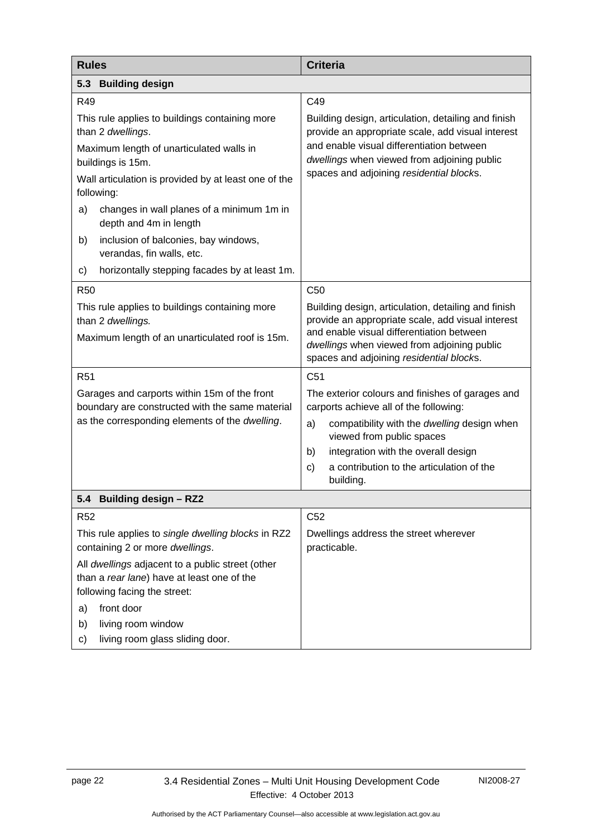<span id="page-25-1"></span><span id="page-25-0"></span>

| <b>Rules</b>                                                                                                                   | <b>Criteria</b>                                                                                                                                                                                      |  |
|--------------------------------------------------------------------------------------------------------------------------------|------------------------------------------------------------------------------------------------------------------------------------------------------------------------------------------------------|--|
| <b>Building design</b><br>5.3                                                                                                  |                                                                                                                                                                                                      |  |
| R49                                                                                                                            | C49                                                                                                                                                                                                  |  |
| This rule applies to buildings containing more<br>than 2 dwellings.                                                            | Building design, articulation, detailing and finish<br>provide an appropriate scale, add visual interest                                                                                             |  |
| Maximum length of unarticulated walls in<br>buildings is 15m.                                                                  | and enable visual differentiation between<br>dwellings when viewed from adjoining public                                                                                                             |  |
| Wall articulation is provided by at least one of the<br>following:                                                             | spaces and adjoining residential blocks.                                                                                                                                                             |  |
| a)<br>changes in wall planes of a minimum 1m in<br>depth and 4m in length                                                      |                                                                                                                                                                                                      |  |
| inclusion of balconies, bay windows,<br>b)<br>verandas, fin walls, etc.                                                        |                                                                                                                                                                                                      |  |
| horizontally stepping facades by at least 1m.<br>c)                                                                            |                                                                                                                                                                                                      |  |
| <b>R50</b>                                                                                                                     | C <sub>50</sub>                                                                                                                                                                                      |  |
| This rule applies to buildings containing more<br>than 2 dwellings.<br>Maximum length of an unarticulated roof is 15m.         | Building design, articulation, detailing and finish<br>provide an appropriate scale, add visual interest<br>and enable visual differentiation between<br>dwellings when viewed from adjoining public |  |
|                                                                                                                                | spaces and adjoining residential blocks.                                                                                                                                                             |  |
| R <sub>51</sub>                                                                                                                | C <sub>51</sub>                                                                                                                                                                                      |  |
| Garages and carports within 15m of the front<br>boundary are constructed with the same material                                | The exterior colours and finishes of garages and<br>carports achieve all of the following:                                                                                                           |  |
| as the corresponding elements of the dwelling.                                                                                 | compatibility with the dwelling design when<br>a)<br>viewed from public spaces                                                                                                                       |  |
|                                                                                                                                | integration with the overall design<br>b)                                                                                                                                                            |  |
|                                                                                                                                | a contribution to the articulation of the<br>c)<br>building.                                                                                                                                         |  |
| 5.4 Building design - RZ2                                                                                                      |                                                                                                                                                                                                      |  |
| R <sub>52</sub>                                                                                                                | C <sub>52</sub>                                                                                                                                                                                      |  |
| This rule applies to single dwelling blocks in RZ2<br>containing 2 or more dwellings.                                          | Dwellings address the street wherever<br>practicable.                                                                                                                                                |  |
| All dwellings adjacent to a public street (other<br>than a rear lane) have at least one of the<br>following facing the street: |                                                                                                                                                                                                      |  |
| front door<br>a)                                                                                                               |                                                                                                                                                                                                      |  |
| living room window<br>b)                                                                                                       |                                                                                                                                                                                                      |  |
| living room glass sliding door.<br>c)                                                                                          |                                                                                                                                                                                                      |  |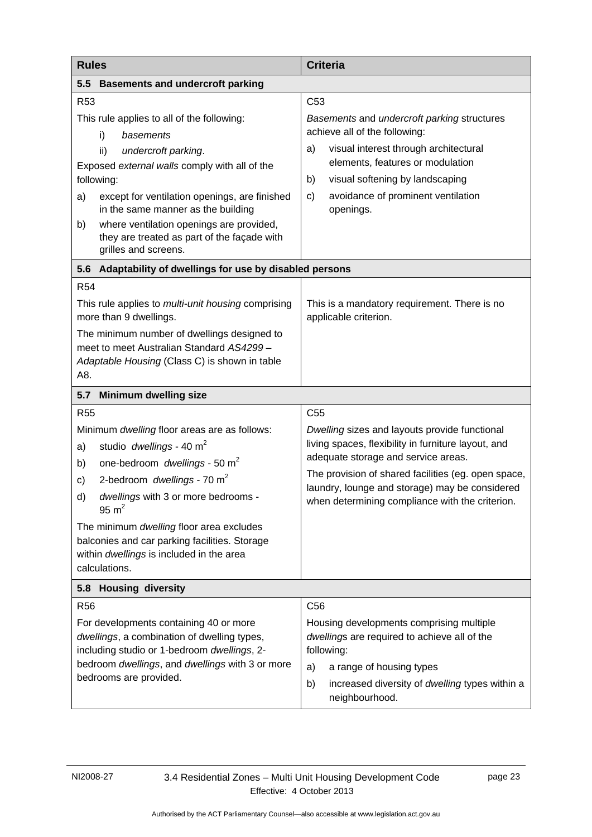<span id="page-26-3"></span><span id="page-26-2"></span><span id="page-26-1"></span><span id="page-26-0"></span>

| <b>Rules</b>                                                                                                          | <b>Criteria</b>                                                                                       |  |
|-----------------------------------------------------------------------------------------------------------------------|-------------------------------------------------------------------------------------------------------|--|
| 5.5 Basements and undercroft parking                                                                                  |                                                                                                       |  |
| <b>R53</b>                                                                                                            | C <sub>53</sub>                                                                                       |  |
| This rule applies to all of the following:<br>i)<br>basements                                                         | Basements and undercroft parking structures<br>achieve all of the following:                          |  |
| ii)<br>undercroft parking.                                                                                            | visual interest through architectural<br>a)                                                           |  |
| Exposed external walls comply with all of the                                                                         | elements, features or modulation                                                                      |  |
| following:                                                                                                            | visual softening by landscaping<br>b)                                                                 |  |
| except for ventilation openings, are finished<br>a)<br>in the same manner as the building                             | avoidance of prominent ventilation<br>C)<br>openings.                                                 |  |
| where ventilation openings are provided,<br>b)<br>they are treated as part of the façade with<br>grilles and screens. |                                                                                                       |  |
| Adaptability of dwellings for use by disabled persons<br>5.6                                                          |                                                                                                       |  |
| <b>R54</b>                                                                                                            |                                                                                                       |  |
| This rule applies to multi-unit housing comprising<br>more than 9 dwellings.                                          | This is a mandatory requirement. There is no<br>applicable criterion.                                 |  |
| The minimum number of dwellings designed to                                                                           |                                                                                                       |  |
| meet to meet Australian Standard AS4299 -<br>Adaptable Housing (Class C) is shown in table                            |                                                                                                       |  |
| A8.                                                                                                                   |                                                                                                       |  |
| <b>Minimum dwelling size</b><br>5.7                                                                                   |                                                                                                       |  |
| <b>R55</b>                                                                                                            | C <sub>55</sub>                                                                                       |  |
| Minimum dwelling floor areas are as follows:                                                                          | Dwelling sizes and layouts provide functional                                                         |  |
| studio dwellings - 40 m <sup>2</sup><br>a)                                                                            | living spaces, flexibility in furniture layout, and                                                   |  |
| one-bedroom dwellings - 50 $m2$<br>b)                                                                                 | adequate storage and service areas.                                                                   |  |
| 2-bedroom dwellings - 70 m <sup>2</sup><br>c)                                                                         | The provision of shared facilities (eg. open space,<br>laundry, lounge and storage) may be considered |  |
| dwellings with 3 or more bedrooms -<br>d)<br>$95 \text{ m}^2$                                                         | when determining compliance with the criterion.                                                       |  |
| The minimum dwelling floor area excludes<br>balconies and car parking facilities. Storage                             |                                                                                                       |  |
| within dwellings is included in the area                                                                              |                                                                                                       |  |
| calculations.                                                                                                         |                                                                                                       |  |
| 5.8 Housing diversity                                                                                                 |                                                                                                       |  |
| R <sub>56</sub>                                                                                                       | C <sub>56</sub>                                                                                       |  |
| For developments containing 40 or more                                                                                | Housing developments comprising multiple                                                              |  |
| dwellings, a combination of dwelling types,                                                                           | dwellings are required to achieve all of the                                                          |  |
|                                                                                                                       |                                                                                                       |  |
| including studio or 1-bedroom dwellings, 2-                                                                           | following:                                                                                            |  |
| bedroom dwellings, and dwellings with 3 or more<br>bedrooms are provided.                                             | a range of housing types<br>a)<br>b)<br>increased diversity of dwelling types within a                |  |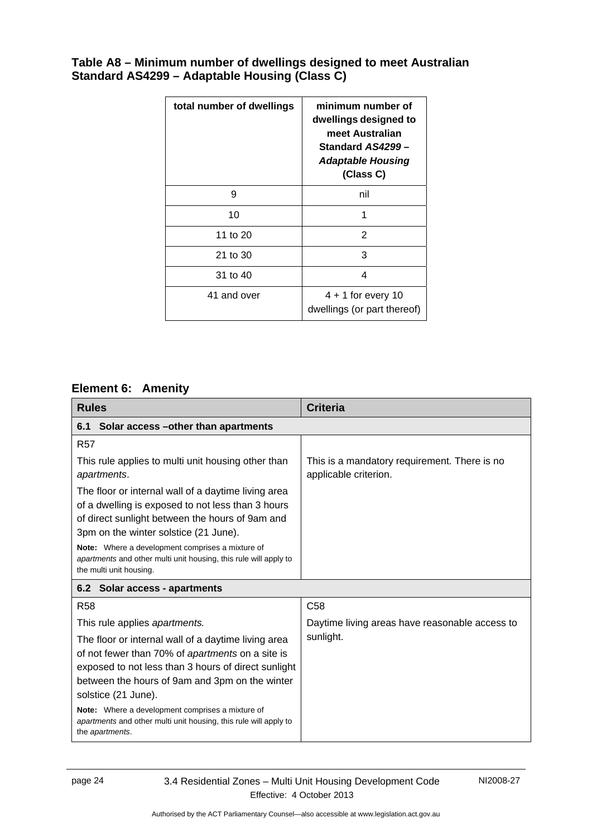#### **Table A8 – Minimum number of dwellings designed to meet Australian Standard AS4299 – Adaptable Housing (Class C)**

| total number of dwellings | minimum number of<br>dwellings designed to<br>meet Australian<br>Standard AS4299 -<br><b>Adaptable Housing</b><br>(Class C) |
|---------------------------|-----------------------------------------------------------------------------------------------------------------------------|
| 9                         | nil                                                                                                                         |
| 10                        | 1                                                                                                                           |
| 11 to $20$                | 2                                                                                                                           |
| 21 to 30                  | 3                                                                                                                           |
| 31 to 40                  | 4                                                                                                                           |
| 41 and over               | $4 + 1$ for every 10<br>dwellings (or part thereof)                                                                         |

### <span id="page-27-0"></span>**Element 6: Amenity**

<span id="page-27-2"></span><span id="page-27-1"></span>

| <b>Rules</b>                                                                                                                                                                                                                            | <b>Criteria</b>                                                       |
|-----------------------------------------------------------------------------------------------------------------------------------------------------------------------------------------------------------------------------------------|-----------------------------------------------------------------------|
| 6.1 Solar access - other than apartments                                                                                                                                                                                                |                                                                       |
| <b>R57</b>                                                                                                                                                                                                                              |                                                                       |
| This rule applies to multi unit housing other than<br>apartments.                                                                                                                                                                       | This is a mandatory requirement. There is no<br>applicable criterion. |
| The floor or internal wall of a daytime living area<br>of a dwelling is exposed to not less than 3 hours<br>of direct sunlight between the hours of 9am and<br>3pm on the winter solstice (21 June).                                    |                                                                       |
| Note: Where a development comprises a mixture of<br>apartments and other multi unit housing, this rule will apply to<br>the multi unit housing.                                                                                         |                                                                       |
| 6.2 Solar access - apartments                                                                                                                                                                                                           |                                                                       |
| <b>R58</b>                                                                                                                                                                                                                              | C <sub>58</sub>                                                       |
| This rule applies apartments.                                                                                                                                                                                                           | Daytime living areas have reasonable access to                        |
| The floor or internal wall of a daytime living area<br>of not fewer than 70% of apartments on a site is<br>exposed to not less than 3 hours of direct sunlight<br>between the hours of 9am and 3pm on the winter<br>solstice (21 June). | sunlight.                                                             |
| Note: Where a development comprises a mixture of<br>apartments and other multi unit housing, this rule will apply to<br>the apartments.                                                                                                 |                                                                       |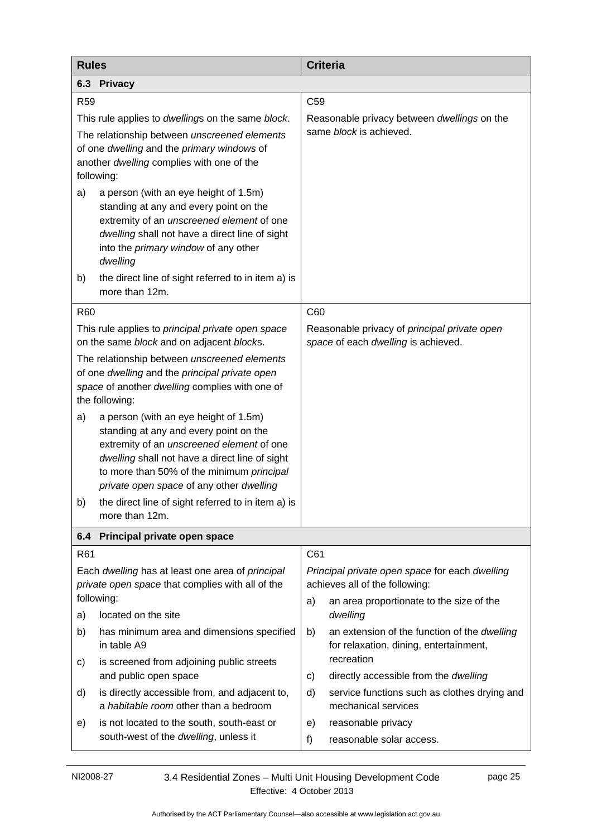<span id="page-28-1"></span><span id="page-28-0"></span>

| <b>Rules</b>    |                                                                                                                                                                                                                                                                         | <b>Criteria</b> |                                                                                                              |
|-----------------|-------------------------------------------------------------------------------------------------------------------------------------------------------------------------------------------------------------------------------------------------------------------------|-----------------|--------------------------------------------------------------------------------------------------------------|
|                 | 6.3 Privacy                                                                                                                                                                                                                                                             |                 |                                                                                                              |
| R <sub>59</sub> |                                                                                                                                                                                                                                                                         | C <sub>59</sub> |                                                                                                              |
|                 | This rule applies to dwellings on the same block.                                                                                                                                                                                                                       |                 | Reasonable privacy between dwellings on the                                                                  |
|                 | The relationship between unscreened elements<br>of one dwelling and the primary windows of<br>another dwelling complies with one of the<br>following:                                                                                                                   |                 | same block is achieved.                                                                                      |
| a)              | a person (with an eye height of 1.5m)<br>standing at any and every point on the<br>extremity of an unscreened element of one<br>dwelling shall not have a direct line of sight<br>into the primary window of any other<br>dwelling                                      |                 |                                                                                                              |
| b)              | the direct line of sight referred to in item a) is<br>more than 12m.                                                                                                                                                                                                    |                 |                                                                                                              |
| R <sub>60</sub> |                                                                                                                                                                                                                                                                         | C60             |                                                                                                              |
|                 | This rule applies to principal private open space<br>on the same block and on adjacent blocks.                                                                                                                                                                          |                 | Reasonable privacy of principal private open<br>space of each dwelling is achieved.                          |
|                 | The relationship between unscreened elements<br>of one dwelling and the principal private open<br>space of another dwelling complies with one of<br>the following:                                                                                                      |                 |                                                                                                              |
| a)              | a person (with an eye height of 1.5m)<br>standing at any and every point on the<br>extremity of an unscreened element of one<br>dwelling shall not have a direct line of sight<br>to more than 50% of the minimum principal<br>private open space of any other dwelling |                 |                                                                                                              |
| b)              | the direct line of sight referred to in item a) is<br>more than 12m.                                                                                                                                                                                                    |                 |                                                                                                              |
| 6.4             | Principal private open space                                                                                                                                                                                                                                            |                 |                                                                                                              |
| R61             |                                                                                                                                                                                                                                                                         | C61             |                                                                                                              |
|                 | Each dwelling has at least one area of principal<br>private open space that complies with all of the                                                                                                                                                                    |                 | Principal private open space for each dwelling<br>achieves all of the following:                             |
| a)              | following:<br>located on the site                                                                                                                                                                                                                                       | a)              | an area proportionate to the size of the<br>dwelling                                                         |
| b)              | has minimum area and dimensions specified<br>in table A9                                                                                                                                                                                                                | b)              | an extension of the function of the dwelling<br>for relaxation, dining, entertainment,                       |
| C)              | is screened from adjoining public streets                                                                                                                                                                                                                               |                 | recreation                                                                                                   |
| d)              | and public open space<br>is directly accessible from, and adjacent to,<br>a habitable room other than a bedroom                                                                                                                                                         | c)<br>d)        | directly accessible from the dwelling<br>service functions such as clothes drying and<br>mechanical services |
| e)              | is not located to the south, south-east or                                                                                                                                                                                                                              | e)              | reasonable privacy                                                                                           |
|                 | south-west of the dwelling, unless it                                                                                                                                                                                                                                   | f)              | reasonable solar access.                                                                                     |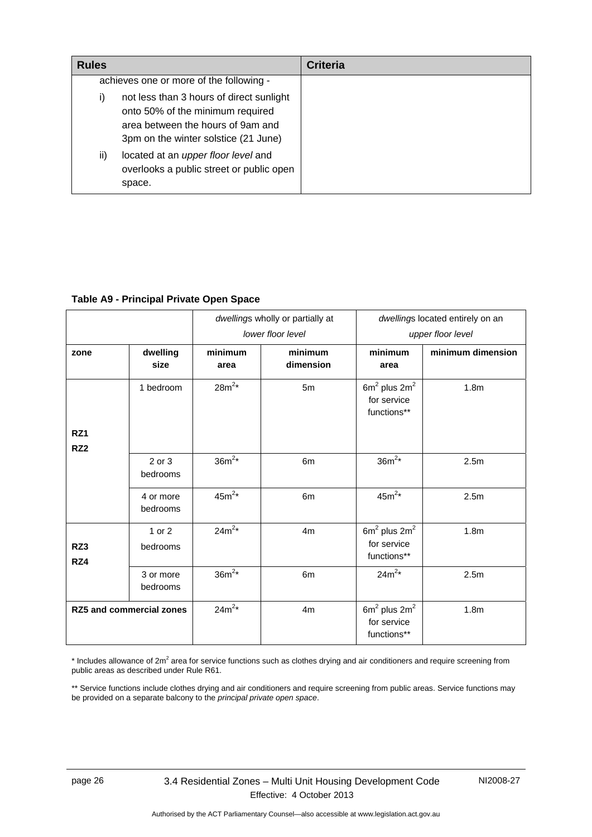| <b>Rules</b> |                                                                                                                                                           | <b>Criteria</b> |
|--------------|-----------------------------------------------------------------------------------------------------------------------------------------------------------|-----------------|
|              | achieves one or more of the following -                                                                                                                   |                 |
| i)           | not less than 3 hours of direct sunlight<br>onto 50% of the minimum required<br>area between the hours of 9am and<br>3pm on the winter solstice (21 June) |                 |
| ii)          | located at an <i>upper floor level</i> and<br>overlooks a public street or public open<br>space.                                                          |                 |

**Table A9 - Principal Private Open Space** 

|                                 |                       | dwellings wholly or partially at |                      | dwellings located entirely on an               |                   |
|---------------------------------|-----------------------|----------------------------------|----------------------|------------------------------------------------|-------------------|
|                                 |                       | lower floor level                |                      | upper floor level                              |                   |
| zone                            | dwelling<br>size      | minimum<br>area                  | minimum<br>dimension | minimum<br>area                                | minimum dimension |
| RZ1<br>RZ <sub>2</sub>          | 1 bedroom             | $28m^{2*}$                       | 5m                   | $6m2$ plus $2m2$<br>for service<br>functions** | 1.8 <sub>m</sub>  |
|                                 | 2 or 3<br>bedrooms    | $36m^{2*}$                       | 6 <sub>m</sub>       | $36m^{2*}$                                     | 2.5m              |
|                                 | 4 or more<br>bedrooms | $45m^{2*}$                       | 6m                   | $45m^{2*}$                                     | 2.5m              |
| RZ3<br>RZ4                      | 1 or 2<br>bedrooms    | $24m^{2*}$                       | 4m                   | $6m2$ plus $2m2$<br>for service<br>functions** | 1.8 <sub>m</sub>  |
|                                 | 3 or more<br>bedrooms | $36m^{2*}$                       | 6m                   | $24m^{2*}$                                     | 2.5m              |
| <b>RZ5 and commercial zones</b> |                       | $24m^{2*}$                       | 4m                   | $6m2$ plus $2m2$<br>for service<br>functions** | 1.8 <sub>m</sub>  |

 $*$  Includes allowance of 2m<sup>2</sup> area for service functions such as clothes drying and air conditioners and require screening from public areas as described under Rule R61.

\*\* Service functions include clothes drying and air conditioners and require screening from public areas. Service functions may be provided on a separate balcony to the *principal private open space*.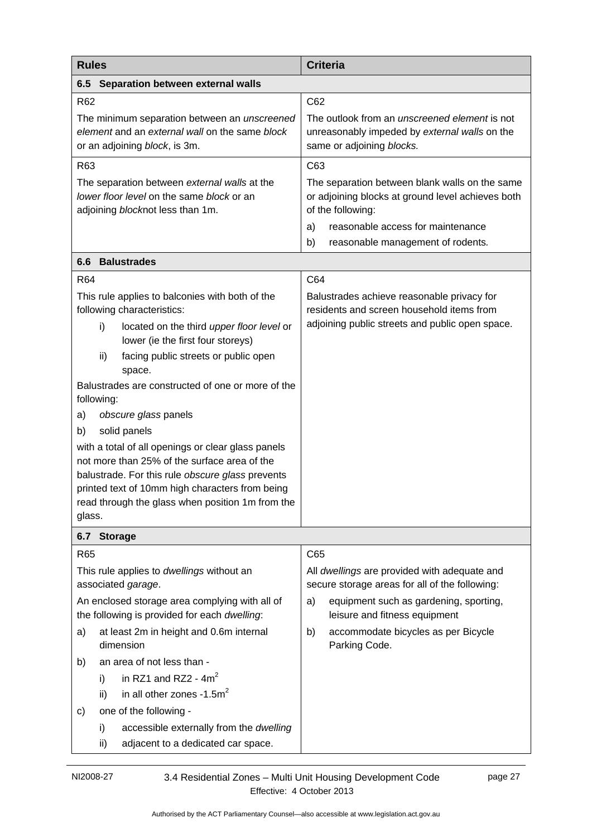<span id="page-30-2"></span><span id="page-30-1"></span><span id="page-30-0"></span>

| <b>Rules</b>                                                                                                                                                                                                                                                                                                                                                                                                                                                                                                                                                                                                                     | <b>Criteria</b>                                                                                                                                                                                                                                      |
|----------------------------------------------------------------------------------------------------------------------------------------------------------------------------------------------------------------------------------------------------------------------------------------------------------------------------------------------------------------------------------------------------------------------------------------------------------------------------------------------------------------------------------------------------------------------------------------------------------------------------------|------------------------------------------------------------------------------------------------------------------------------------------------------------------------------------------------------------------------------------------------------|
| Separation between external walls<br>6.5                                                                                                                                                                                                                                                                                                                                                                                                                                                                                                                                                                                         |                                                                                                                                                                                                                                                      |
| R62                                                                                                                                                                                                                                                                                                                                                                                                                                                                                                                                                                                                                              | C62                                                                                                                                                                                                                                                  |
| The minimum separation between an unscreened<br>element and an external wall on the same block<br>or an adjoining block, is 3m.                                                                                                                                                                                                                                                                                                                                                                                                                                                                                                  | The outlook from an <i>unscreened element</i> is not<br>unreasonably impeded by external walls on the<br>same or adjoining blocks.                                                                                                                   |
| R63                                                                                                                                                                                                                                                                                                                                                                                                                                                                                                                                                                                                                              | C63                                                                                                                                                                                                                                                  |
| The separation between external walls at the<br>lower floor level on the same block or an<br>adjoining blocknot less than 1m.                                                                                                                                                                                                                                                                                                                                                                                                                                                                                                    | The separation between blank walls on the same<br>or adjoining blocks at ground level achieves both<br>of the following:                                                                                                                             |
|                                                                                                                                                                                                                                                                                                                                                                                                                                                                                                                                                                                                                                  | reasonable access for maintenance<br>a)<br>b)<br>reasonable management of rodents.                                                                                                                                                                   |
| <b>Balustrades</b><br>6.6                                                                                                                                                                                                                                                                                                                                                                                                                                                                                                                                                                                                        |                                                                                                                                                                                                                                                      |
| R64                                                                                                                                                                                                                                                                                                                                                                                                                                                                                                                                                                                                                              | C64                                                                                                                                                                                                                                                  |
| This rule applies to balconies with both of the<br>following characteristics:<br>i)<br>located on the third upper floor level or<br>lower (ie the first four storeys)<br>facing public streets or public open<br>ii)<br>space.<br>Balustrades are constructed of one or more of the<br>following:<br>obscure glass panels<br>a)<br>solid panels<br>b)<br>with a total of all openings or clear glass panels<br>not more than 25% of the surface area of the<br>balustrade. For this rule obscure glass prevents<br>printed text of 10mm high characters from being<br>read through the glass when position 1m from the<br>glass. | Balustrades achieve reasonable privacy for<br>residents and screen household items from<br>adjoining public streets and public open space.                                                                                                           |
| 6.7<br><b>Storage</b>                                                                                                                                                                                                                                                                                                                                                                                                                                                                                                                                                                                                            |                                                                                                                                                                                                                                                      |
| R65<br>This rule applies to dwellings without an<br>associated garage.<br>An enclosed storage area complying with all of<br>the following is provided for each dwelling:<br>at least 2m in height and 0.6m internal<br>a)<br>dimension<br>an area of not less than -<br>b)<br>in RZ1 and RZ2 - $4m^2$<br>i)<br>in all other zones $-1.5m^2$<br>ii)<br>one of the following -<br>c)<br>accessible externally from the dwelling<br>i)<br>adjacent to a dedicated car space.<br>ii)                                                                                                                                                 | C65<br>All dwellings are provided with adequate and<br>secure storage areas for all of the following:<br>equipment such as gardening, sporting,<br>a)<br>leisure and fitness equipment<br>accommodate bicycles as per Bicycle<br>b)<br>Parking Code. |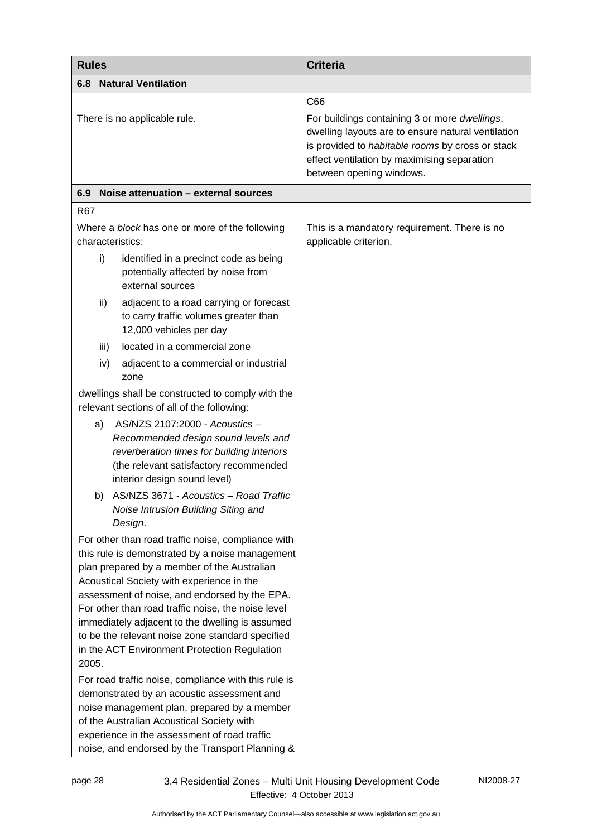<span id="page-31-1"></span><span id="page-31-0"></span>

| <b>Rules</b>                                                                                                                                                                                                                                                                                                                                                                                                                                                                                                                                                                                                                                                                                                                                                                             | <b>Criteria</b>                                                                                                                                                                                                                           |  |  |
|------------------------------------------------------------------------------------------------------------------------------------------------------------------------------------------------------------------------------------------------------------------------------------------------------------------------------------------------------------------------------------------------------------------------------------------------------------------------------------------------------------------------------------------------------------------------------------------------------------------------------------------------------------------------------------------------------------------------------------------------------------------------------------------|-------------------------------------------------------------------------------------------------------------------------------------------------------------------------------------------------------------------------------------------|--|--|
| <b>Natural Ventilation</b><br>6.8                                                                                                                                                                                                                                                                                                                                                                                                                                                                                                                                                                                                                                                                                                                                                        |                                                                                                                                                                                                                                           |  |  |
| There is no applicable rule.                                                                                                                                                                                                                                                                                                                                                                                                                                                                                                                                                                                                                                                                                                                                                             | C66<br>For buildings containing 3 or more dwellings,<br>dwelling layouts are to ensure natural ventilation<br>is provided to habitable rooms by cross or stack<br>effect ventilation by maximising separation<br>between opening windows. |  |  |
| Noise attenuation - external sources<br>6.9                                                                                                                                                                                                                                                                                                                                                                                                                                                                                                                                                                                                                                                                                                                                              |                                                                                                                                                                                                                                           |  |  |
| R67<br>Where a block has one or more of the following<br>characteristics:<br>i)<br>identified in a precinct code as being<br>potentially affected by noise from<br>external sources<br>adjacent to a road carrying or forecast<br>ii)                                                                                                                                                                                                                                                                                                                                                                                                                                                                                                                                                    | This is a mandatory requirement. There is no<br>applicable criterion.                                                                                                                                                                     |  |  |
| to carry traffic volumes greater than<br>12,000 vehicles per day<br>located in a commercial zone<br>iii)<br>adjacent to a commercial or industrial<br>iv)<br>zone                                                                                                                                                                                                                                                                                                                                                                                                                                                                                                                                                                                                                        |                                                                                                                                                                                                                                           |  |  |
| dwellings shall be constructed to comply with the<br>relevant sections of all of the following:<br>AS/NZS 2107:2000 - Acoustics -<br>a)<br>Recommended design sound levels and<br>reverberation times for building interiors<br>(the relevant satisfactory recommended<br>interior design sound level)<br>AS/NZS 3671 - Acoustics - Road Traffic<br>b)<br>Noise Intrusion Building Siting and                                                                                                                                                                                                                                                                                                                                                                                            |                                                                                                                                                                                                                                           |  |  |
| Design.<br>For other than road traffic noise, compliance with<br>this rule is demonstrated by a noise management<br>plan prepared by a member of the Australian<br>Acoustical Society with experience in the<br>assessment of noise, and endorsed by the EPA.<br>For other than road traffic noise, the noise level<br>immediately adjacent to the dwelling is assumed<br>to be the relevant noise zone standard specified<br>in the ACT Environment Protection Regulation<br>2005.<br>For road traffic noise, compliance with this rule is<br>demonstrated by an acoustic assessment and<br>noise management plan, prepared by a member<br>of the Australian Acoustical Society with<br>experience in the assessment of road traffic<br>noise, and endorsed by the Transport Planning & |                                                                                                                                                                                                                                           |  |  |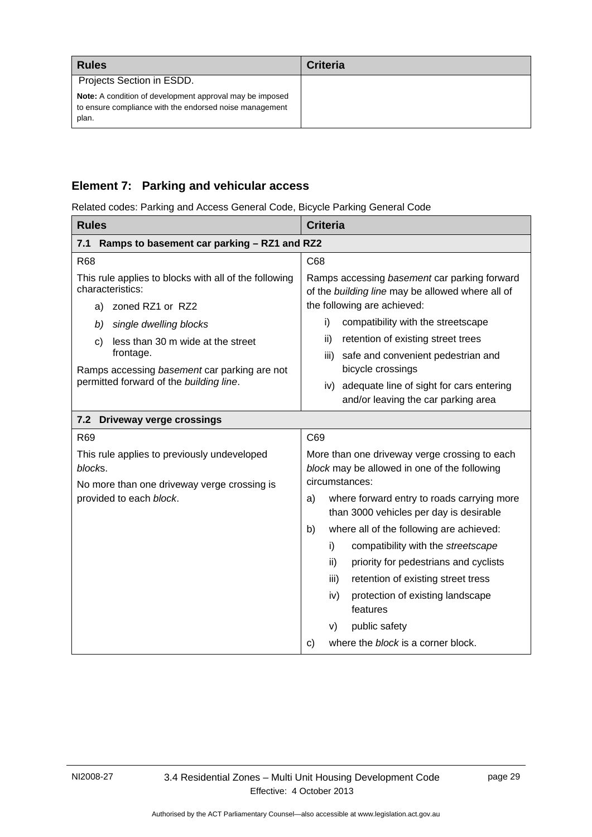| <b>Rules</b>                                                                                                                        | <b>Criteria</b> |
|-------------------------------------------------------------------------------------------------------------------------------------|-----------------|
| Projects Section in ESDD.                                                                                                           |                 |
| <b>Note:</b> A condition of development approval may be imposed<br>to ensure compliance with the endorsed noise management<br>plan. |                 |

#### <span id="page-32-0"></span>**Element 7: Parking and vehicular access**

Related codes: Parking and Access General Code, Bicycle Parking General Code

<span id="page-32-2"></span><span id="page-32-1"></span>

| <b>Rules</b>                                                                                          | <b>Criteria</b>                                                                                                 |  |  |
|-------------------------------------------------------------------------------------------------------|-----------------------------------------------------------------------------------------------------------------|--|--|
| Ramps to basement car parking - RZ1 and RZ2<br>7.1                                                    |                                                                                                                 |  |  |
| <b>R68</b>                                                                                            | C68                                                                                                             |  |  |
| This rule applies to blocks with all of the following<br>characteristics:                             | Ramps accessing basement car parking forward<br>of the building line may be allowed where all of                |  |  |
| a)<br>zoned RZ1 or RZ2                                                                                | the following are achieved:                                                                                     |  |  |
| single dwelling blocks<br>b)                                                                          | i)<br>compatibility with the streetscape                                                                        |  |  |
| less than 30 m wide at the street<br>$\mathbf{C}$                                                     | retention of existing street trees<br>ii)                                                                       |  |  |
| frontage.<br>Ramps accessing basement car parking are not                                             | safe and convenient pedestrian and<br>iii)<br>bicycle crossings                                                 |  |  |
| permitted forward of the building line.                                                               | iv) adequate line of sight for cars entering<br>and/or leaving the car parking area                             |  |  |
| 7.2 Driveway verge crossings                                                                          |                                                                                                                 |  |  |
| R69                                                                                                   | C69                                                                                                             |  |  |
| This rule applies to previously undeveloped<br>blocks.<br>No more than one driveway verge crossing is | More than one driveway verge crossing to each<br>block may be allowed in one of the following<br>circumstances: |  |  |
| provided to each block.                                                                               | where forward entry to roads carrying more<br>a)<br>than 3000 vehicles per day is desirable                     |  |  |
|                                                                                                       | where all of the following are achieved:<br>b)                                                                  |  |  |
|                                                                                                       | i)<br>compatibility with the streetscape                                                                        |  |  |
|                                                                                                       | ii)<br>priority for pedestrians and cyclists                                                                    |  |  |
|                                                                                                       | iii)<br>retention of existing street tress                                                                      |  |  |
|                                                                                                       | iv)<br>protection of existing landscape<br>features                                                             |  |  |
|                                                                                                       | public safety<br>V)                                                                                             |  |  |
|                                                                                                       | where the block is a corner block.<br>C)                                                                        |  |  |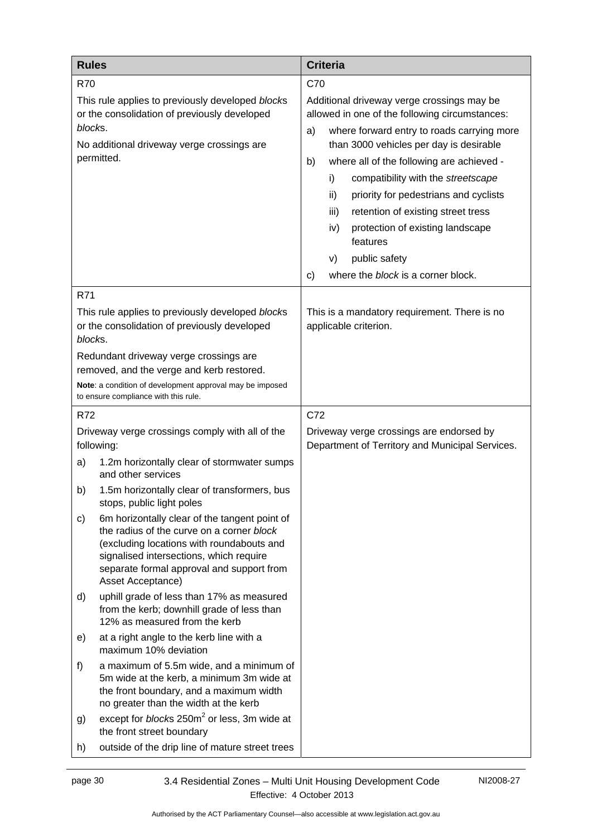| <b>Rules</b>                                                                                                                                                                                                                                               | <b>Criteria</b>                                                                                                                                                                             |  |
|------------------------------------------------------------------------------------------------------------------------------------------------------------------------------------------------------------------------------------------------------------|---------------------------------------------------------------------------------------------------------------------------------------------------------------------------------------------|--|
| <b>R70</b>                                                                                                                                                                                                                                                 | C70                                                                                                                                                                                         |  |
| This rule applies to previously developed blocks<br>or the consolidation of previously developed<br>blocks.<br>No additional driveway verge crossings are                                                                                                  | Additional driveway verge crossings may be<br>allowed in one of the following circumstances:<br>where forward entry to roads carrying more<br>a)<br>than 3000 vehicles per day is desirable |  |
| permitted.                                                                                                                                                                                                                                                 | where all of the following are achieved -<br>b)                                                                                                                                             |  |
|                                                                                                                                                                                                                                                            | compatibility with the streetscape<br>i)                                                                                                                                                    |  |
|                                                                                                                                                                                                                                                            | ii)<br>priority for pedestrians and cyclists                                                                                                                                                |  |
|                                                                                                                                                                                                                                                            | iii)<br>retention of existing street tress                                                                                                                                                  |  |
|                                                                                                                                                                                                                                                            | protection of existing landscape<br>iv)<br>features                                                                                                                                         |  |
|                                                                                                                                                                                                                                                            | public safety<br>V)                                                                                                                                                                         |  |
|                                                                                                                                                                                                                                                            | where the block is a corner block.<br>C)                                                                                                                                                    |  |
| R71                                                                                                                                                                                                                                                        |                                                                                                                                                                                             |  |
| This rule applies to previously developed blocks<br>or the consolidation of previously developed<br>blocks.                                                                                                                                                | This is a mandatory requirement. There is no<br>applicable criterion.                                                                                                                       |  |
| Redundant driveway verge crossings are                                                                                                                                                                                                                     |                                                                                                                                                                                             |  |
| removed, and the verge and kerb restored.                                                                                                                                                                                                                  |                                                                                                                                                                                             |  |
| Note: a condition of development approval may be imposed<br>to ensure compliance with this rule.                                                                                                                                                           |                                                                                                                                                                                             |  |
| <b>R72</b>                                                                                                                                                                                                                                                 | C72                                                                                                                                                                                         |  |
| Driveway verge crossings comply with all of the<br>following:                                                                                                                                                                                              | Driveway verge crossings are endorsed by<br>Department of Territory and Municipal Services.                                                                                                 |  |
| 1.2m horizontally clear of stormwater sumps<br>a)<br>and other services                                                                                                                                                                                    |                                                                                                                                                                                             |  |
| 1.5m horizontally clear of transformers, bus<br>b)<br>stops, public light poles                                                                                                                                                                            |                                                                                                                                                                                             |  |
| 6m horizontally clear of the tangent point of<br>C)<br>the radius of the curve on a corner block<br>(excluding locations with roundabouts and<br>signalised intersections, which require<br>separate formal approval and support from<br>Asset Acceptance) |                                                                                                                                                                                             |  |
| uphill grade of less than 17% as measured<br>d)<br>from the kerb; downhill grade of less than<br>12% as measured from the kerb                                                                                                                             |                                                                                                                                                                                             |  |
| at a right angle to the kerb line with a<br>e)<br>maximum 10% deviation                                                                                                                                                                                    |                                                                                                                                                                                             |  |
| a maximum of 5.5m wide, and a minimum of<br>f)<br>5m wide at the kerb, a minimum 3m wide at<br>the front boundary, and a maximum width<br>no greater than the width at the kerb                                                                            |                                                                                                                                                                                             |  |
| except for <i>block</i> s 250m <sup>2</sup> or less, 3m wide at<br>g)<br>the front street boundary                                                                                                                                                         |                                                                                                                                                                                             |  |
| outside of the drip line of mature street trees<br>h)                                                                                                                                                                                                      |                                                                                                                                                                                             |  |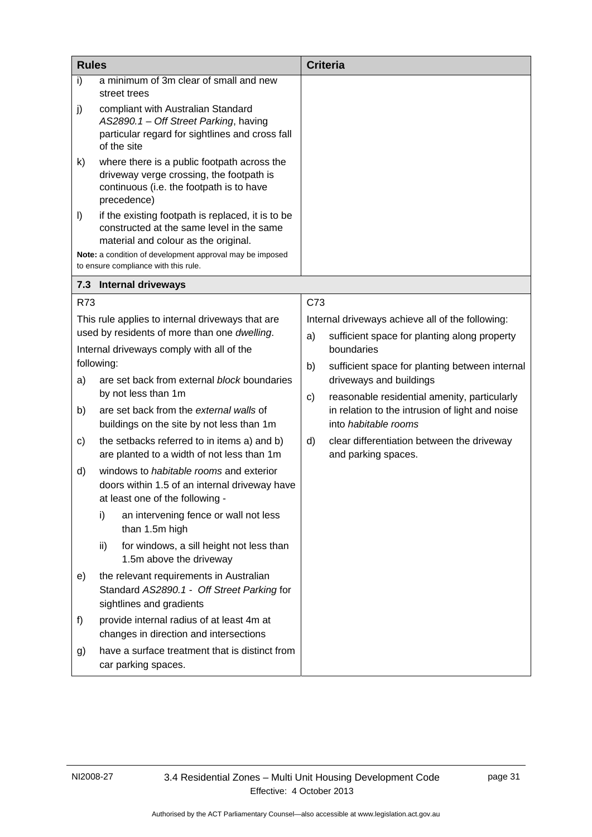<span id="page-34-0"></span>

| <b>Rules</b> |                                                                                                                                                    | <b>Criteria</b>                                                                                        |
|--------------|----------------------------------------------------------------------------------------------------------------------------------------------------|--------------------------------------------------------------------------------------------------------|
| i)           | a minimum of 3m clear of small and new<br>street trees                                                                                             |                                                                                                        |
| j)           | compliant with Australian Standard<br>AS2890.1 - Off Street Parking, having<br>particular regard for sightlines and cross fall<br>of the site      |                                                                                                        |
| k)           | where there is a public footpath across the<br>driveway verge crossing, the footpath is<br>continuous (i.e. the footpath is to have<br>precedence) |                                                                                                        |
| $\vert$      | if the existing footpath is replaced, it is to be<br>constructed at the same level in the same<br>material and colour as the original.             |                                                                                                        |
|              | Note: a condition of development approval may be imposed<br>to ensure compliance with this rule.                                                   |                                                                                                        |
|              | 7.3 Internal driveways                                                                                                                             |                                                                                                        |
| <b>R73</b>   |                                                                                                                                                    | C73                                                                                                    |
|              | This rule applies to internal driveways that are<br>used by residents of more than one dwelling.                                                   | Internal driveways achieve all of the following:<br>sufficient space for planting along property<br>a) |
|              | Internal driveways comply with all of the                                                                                                          | boundaries                                                                                             |
|              | following:                                                                                                                                         | sufficient space for planting between internal<br>b)                                                   |
| a)           | are set back from external block boundaries<br>by not less than 1m                                                                                 | driveways and buildings<br>reasonable residential amenity, particularly                                |
| b)           | are set back from the external walls of<br>buildings on the site by not less than 1m                                                               | C)<br>in relation to the intrusion of light and noise<br>into habitable rooms                          |
| c)           | the setbacks referred to in items a) and b)<br>are planted to a width of not less than 1m                                                          | clear differentiation between the driveway<br>d)<br>and parking spaces.                                |
| d)           | windows to <i>habitable rooms</i> and exterior<br>doors within 1.5 of an internal driveway have<br>at least one of the following                   |                                                                                                        |
|              | an intervening fence or wall not less<br>i)<br>than 1.5m high                                                                                      |                                                                                                        |
|              | for windows, a sill height not less than<br>ii)<br>1.5m above the driveway                                                                         |                                                                                                        |
| e)           | the relevant requirements in Australian<br>Standard AS2890.1 - Off Street Parking for<br>sightlines and gradients                                  |                                                                                                        |
| f)           | provide internal radius of at least 4m at<br>changes in direction and intersections                                                                |                                                                                                        |
| g)           | have a surface treatment that is distinct from<br>car parking spaces.                                                                              |                                                                                                        |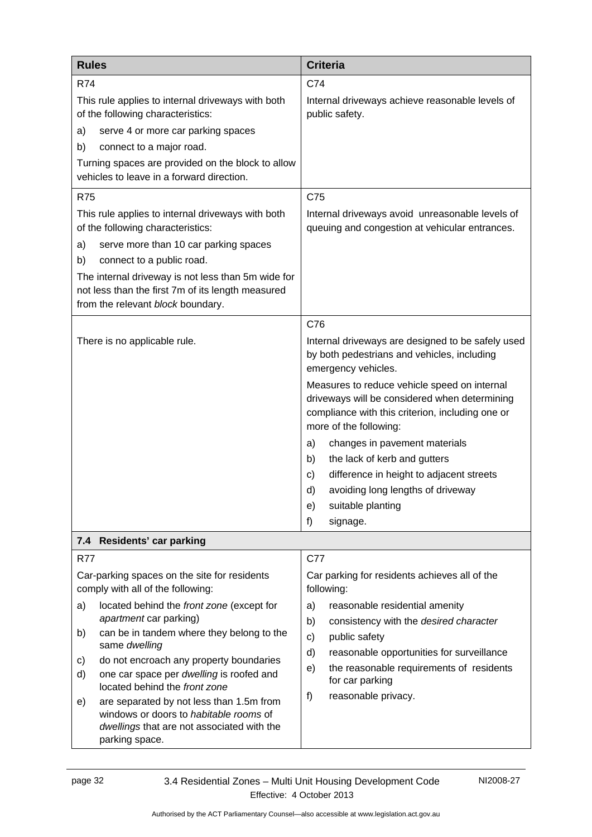<span id="page-35-0"></span>

| <b>Rules</b>                                                                                                                                             | <b>Criteria</b>                                                                                                                                                             |  |
|----------------------------------------------------------------------------------------------------------------------------------------------------------|-----------------------------------------------------------------------------------------------------------------------------------------------------------------------------|--|
| <b>R74</b>                                                                                                                                               | C74                                                                                                                                                                         |  |
| This rule applies to internal driveways with both<br>of the following characteristics:                                                                   | Internal driveways achieve reasonable levels of<br>public safety.                                                                                                           |  |
| a)<br>serve 4 or more car parking spaces                                                                                                                 |                                                                                                                                                                             |  |
| b)<br>connect to a major road.                                                                                                                           |                                                                                                                                                                             |  |
| Turning spaces are provided on the block to allow<br>vehicles to leave in a forward direction.                                                           |                                                                                                                                                                             |  |
| <b>R75</b>                                                                                                                                               | C75                                                                                                                                                                         |  |
| This rule applies to internal driveways with both<br>of the following characteristics:                                                                   | Internal driveways avoid unreasonable levels of<br>queuing and congestion at vehicular entrances.                                                                           |  |
| serve more than 10 car parking spaces<br>a)                                                                                                              |                                                                                                                                                                             |  |
| b)<br>connect to a public road.                                                                                                                          |                                                                                                                                                                             |  |
| The internal driveway is not less than 5m wide for<br>not less than the first 7m of its length measured<br>from the relevant block boundary.             |                                                                                                                                                                             |  |
|                                                                                                                                                          | C76                                                                                                                                                                         |  |
| There is no applicable rule.                                                                                                                             | Internal driveways are designed to be safely used<br>by both pedestrians and vehicles, including<br>emergency vehicles.                                                     |  |
|                                                                                                                                                          | Measures to reduce vehicle speed on internal<br>driveways will be considered when determining<br>compliance with this criterion, including one or<br>more of the following: |  |
|                                                                                                                                                          | changes in pavement materials<br>a)                                                                                                                                         |  |
|                                                                                                                                                          | the lack of kerb and gutters<br>b)                                                                                                                                          |  |
|                                                                                                                                                          | difference in height to adjacent streets<br>C)                                                                                                                              |  |
|                                                                                                                                                          | d)<br>avoiding long lengths of driveway                                                                                                                                     |  |
|                                                                                                                                                          | suitable planting<br>e)                                                                                                                                                     |  |
|                                                                                                                                                          | f)<br>signage.                                                                                                                                                              |  |
| <b>Residents' car parking</b><br>7.4                                                                                                                     |                                                                                                                                                                             |  |
| <b>R77</b>                                                                                                                                               | C77                                                                                                                                                                         |  |
| Car-parking spaces on the site for residents<br>comply with all of the following:                                                                        | Car parking for residents achieves all of the<br>following:                                                                                                                 |  |
| located behind the front zone (except for<br>a)<br>apartment car parking)                                                                                | a)<br>reasonable residential amenity<br>b)<br>consistency with the desired character                                                                                        |  |
| can be in tandem where they belong to the<br>b)<br>same dwelling                                                                                         | public safety<br>C)                                                                                                                                                         |  |
| do not encroach any property boundaries<br>c)                                                                                                            | reasonable opportunities for surveillance<br>d)                                                                                                                             |  |
| d)<br>one car space per dwelling is roofed and<br>located behind the front zone                                                                          | the reasonable requirements of residents<br>e)<br>for car parking                                                                                                           |  |
| are separated by not less than 1.5m from<br>e)<br>windows or doors to habitable rooms of<br>dwellings that are not associated with the<br>parking space. | reasonable privacy.<br>f)                                                                                                                                                   |  |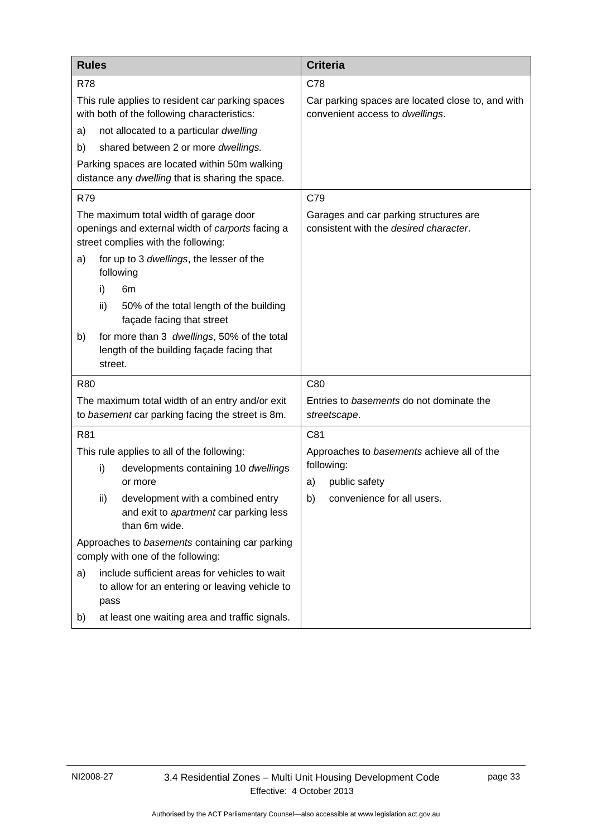| <b>Rules</b>                                                                                                                      | <b>Criteria</b>                                                                      |
|-----------------------------------------------------------------------------------------------------------------------------------|--------------------------------------------------------------------------------------|
| <b>R78</b>                                                                                                                        | C78                                                                                  |
| This rule applies to resident car parking spaces<br>with both of the following characteristics:                                   | Car parking spaces are located close to, and with<br>convenient access to dwellings. |
| not allocated to a particular dwelling<br>a)                                                                                      |                                                                                      |
| shared between 2 or more dwellings.<br>b)                                                                                         |                                                                                      |
| Parking spaces are located within 50m walking<br>distance any dwelling that is sharing the space.                                 |                                                                                      |
| R79                                                                                                                               | C79                                                                                  |
| The maximum total width of garage door<br>openings and external width of carports facing a<br>street complies with the following: | Garages and car parking structures are<br>consistent with the desired character.     |
| for up to 3 dwellings, the lesser of the<br>a)<br>following                                                                       |                                                                                      |
| i)<br>6m                                                                                                                          |                                                                                      |
| 50% of the total length of the building<br>ii)<br>façade facing that street                                                       |                                                                                      |
| for more than 3 dwellings, 50% of the total<br>b)<br>length of the building façade facing that<br>street.                         |                                                                                      |
| R80                                                                                                                               | C80                                                                                  |
| The maximum total width of an entry and/or exit<br>to basement car parking facing the street is 8m.                               | Entries to basements do not dominate the<br>streetscape.                             |
| R81                                                                                                                               | C81                                                                                  |
| This rule applies to all of the following:                                                                                        | Approaches to basements achieve all of the                                           |
| developments containing 10 dwellings<br>i)                                                                                        | following:                                                                           |
| or more                                                                                                                           | public safety<br>a)                                                                  |
| development with a combined entry<br>ii)<br>and exit to apartment car parking less<br>than 6m wide.                               | b)<br>convenience for all users                                                      |
| Approaches to basements containing car parking<br>comply with one of the following:                                               |                                                                                      |
| include sufficient areas for vehicles to wait<br>a)<br>to allow for an entering or leaving vehicle to<br>pass                     |                                                                                      |
| at least one waiting area and traffic signals.<br>b)                                                                              |                                                                                      |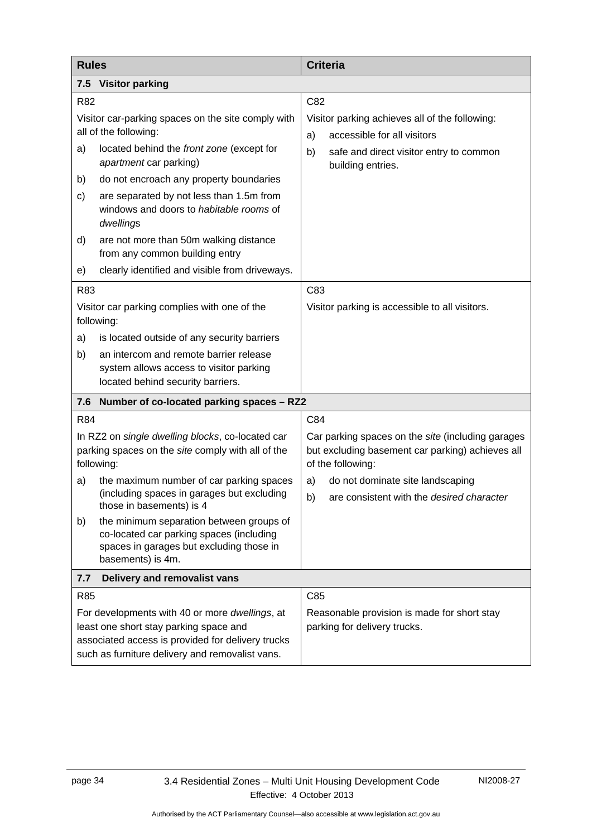<span id="page-37-2"></span><span id="page-37-1"></span><span id="page-37-0"></span>

| <b>Rules</b>                                                                                                                                         |                                                                                                                                                       | <b>Criteria</b>                                                                                                                                           |
|------------------------------------------------------------------------------------------------------------------------------------------------------|-------------------------------------------------------------------------------------------------------------------------------------------------------|-----------------------------------------------------------------------------------------------------------------------------------------------------------|
| 7.5                                                                                                                                                  | <b>Visitor parking</b>                                                                                                                                |                                                                                                                                                           |
| R82                                                                                                                                                  |                                                                                                                                                       | C82                                                                                                                                                       |
| a)                                                                                                                                                   | Visitor car-parking spaces on the site comply with<br>all of the following:<br>located behind the front zone (except for<br>apartment car parking)    | Visitor parking achieves all of the following:<br>accessible for all visitors<br>a)<br>b)<br>safe and direct visitor entry to common<br>building entries. |
| b)                                                                                                                                                   | do not encroach any property boundaries                                                                                                               |                                                                                                                                                           |
| c)                                                                                                                                                   | are separated by not less than 1.5m from<br>windows and doors to habitable rooms of<br>dwellings                                                      |                                                                                                                                                           |
| d)                                                                                                                                                   | are not more than 50m walking distance<br>from any common building entry                                                                              |                                                                                                                                                           |
| e)                                                                                                                                                   | clearly identified and visible from driveways.                                                                                                        |                                                                                                                                                           |
| R83                                                                                                                                                  |                                                                                                                                                       | C83                                                                                                                                                       |
| Visitor car parking complies with one of the<br>following:                                                                                           |                                                                                                                                                       | Visitor parking is accessible to all visitors.                                                                                                            |
| a)                                                                                                                                                   | is located outside of any security barriers                                                                                                           |                                                                                                                                                           |
| b)                                                                                                                                                   | an intercom and remote barrier release<br>system allows access to visitor parking<br>located behind security barriers.                                |                                                                                                                                                           |
| 7.6                                                                                                                                                  | Number of co-located parking spaces - RZ2                                                                                                             |                                                                                                                                                           |
| <b>R84</b>                                                                                                                                           |                                                                                                                                                       | C84                                                                                                                                                       |
| In RZ2 on single dwelling blocks, co-located car<br>parking spaces on the site comply with all of the<br>following:                                  |                                                                                                                                                       | Car parking spaces on the site (including garages<br>but excluding basement car parking) achieves all<br>of the following:                                |
| a)                                                                                                                                                   | the maximum number of car parking spaces<br>(including spaces in garages but excluding<br>those in basements) is 4                                    | do not dominate site landscaping<br>a)<br>b)<br>are consistent with the <i>desired character</i>                                                          |
| b)                                                                                                                                                   | the minimum separation between groups of<br>co-located car parking spaces (including<br>spaces in garages but excluding those in<br>basements) is 4m. |                                                                                                                                                           |
| 7.7                                                                                                                                                  | Delivery and removalist vans                                                                                                                          |                                                                                                                                                           |
| R85<br>For developments with 40 or more dwellings, at<br>least one short stay parking space and<br>associated access is provided for delivery trucks |                                                                                                                                                       | C85<br>Reasonable provision is made for short stay<br>parking for delivery trucks.                                                                        |
| such as furniture delivery and removalist vans.                                                                                                      |                                                                                                                                                       |                                                                                                                                                           |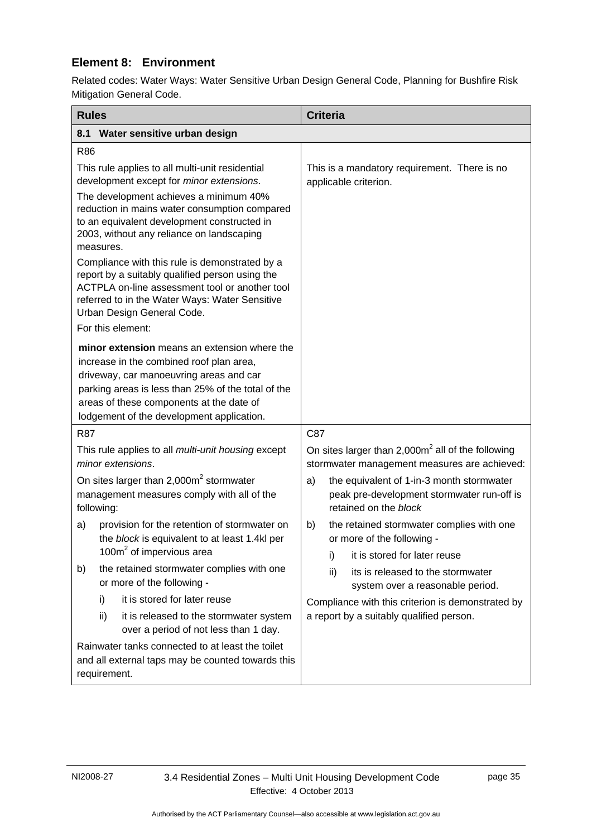#### <span id="page-38-0"></span>**Element 8: Environment**

Related codes: Water Ways: Water Sensitive Urban Design General Code, Planning for Bushfire Risk Mitigation General Code.

<span id="page-38-1"></span>

| <b>Rules</b>                                                                                                                                                                                                                                                                       | <b>Criteria</b>                                                                                                        |
|------------------------------------------------------------------------------------------------------------------------------------------------------------------------------------------------------------------------------------------------------------------------------------|------------------------------------------------------------------------------------------------------------------------|
| Water sensitive urban design<br>8.1                                                                                                                                                                                                                                                |                                                                                                                        |
| <b>R86</b>                                                                                                                                                                                                                                                                         |                                                                                                                        |
| This rule applies to all multi-unit residential<br>development except for minor extensions.                                                                                                                                                                                        | This is a mandatory requirement. There is no<br>applicable criterion.                                                  |
| The development achieves a minimum 40%<br>reduction in mains water consumption compared<br>to an equivalent development constructed in<br>2003, without any reliance on landscaping<br>measures.                                                                                   |                                                                                                                        |
| Compliance with this rule is demonstrated by a<br>report by a suitably qualified person using the<br>ACTPLA on-line assessment tool or another tool<br>referred to in the Water Ways: Water Sensitive<br>Urban Design General Code.                                                |                                                                                                                        |
| For this element:                                                                                                                                                                                                                                                                  |                                                                                                                        |
| minor extension means an extension where the<br>increase in the combined roof plan area,<br>driveway, car manoeuvring areas and car<br>parking areas is less than 25% of the total of the<br>areas of these components at the date of<br>lodgement of the development application. |                                                                                                                        |
| R87                                                                                                                                                                                                                                                                                | C87                                                                                                                    |
| This rule applies to all multi-unit housing except<br>minor extensions.                                                                                                                                                                                                            | On sites larger than $2,000m^2$ all of the following<br>stormwater management measures are achieved:                   |
| On sites larger than 2,000m <sup>2</sup> stormwater<br>management measures comply with all of the<br>following:                                                                                                                                                                    | the equivalent of 1-in-3 month stormwater<br>a)<br>peak pre-development stormwater run-off is<br>retained on the block |
| provision for the retention of stormwater on<br>a)<br>the block is equivalent to at least 1.4kl per<br>100m <sup>2</sup> of impervious area                                                                                                                                        | b)<br>the retained stormwater complies with one<br>or more of the following -<br>it is stored for later reuse<br>i)    |
| the retained stormwater complies with one<br>b)<br>or more of the following -                                                                                                                                                                                                      | its is released to the stormwater<br>ii)<br>system over a reasonable period.                                           |
| it is stored for later reuse<br>i)                                                                                                                                                                                                                                                 | Compliance with this criterion is demonstrated by                                                                      |
| it is released to the stormwater system<br>ii)<br>over a period of not less than 1 day.                                                                                                                                                                                            | a report by a suitably qualified person.                                                                               |
| Rainwater tanks connected to at least the toilet<br>and all external taps may be counted towards this<br>requirement.                                                                                                                                                              |                                                                                                                        |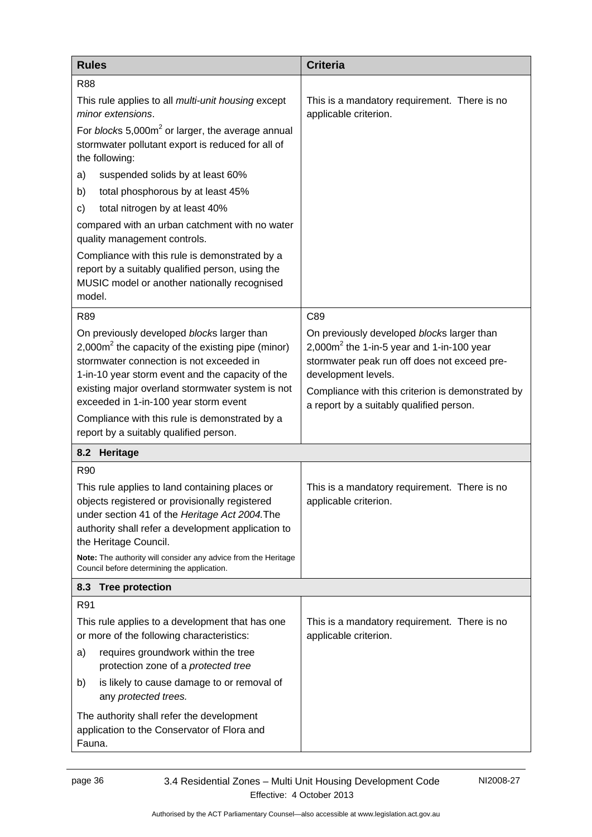<span id="page-39-1"></span><span id="page-39-0"></span>

| <b>Rules</b>                                                                                                                                                                                                                      | <b>Criteria</b>                                                       |
|-----------------------------------------------------------------------------------------------------------------------------------------------------------------------------------------------------------------------------------|-----------------------------------------------------------------------|
| <b>R88</b>                                                                                                                                                                                                                        |                                                                       |
| This rule applies to all multi-unit housing except<br>minor extensions.                                                                                                                                                           | This is a mandatory requirement. There is no<br>applicable criterion. |
| For blocks 5,000m <sup>2</sup> or larger, the average annual<br>stormwater pollutant export is reduced for all of<br>the following:                                                                                               |                                                                       |
| suspended solids by at least 60%<br>a)                                                                                                                                                                                            |                                                                       |
| total phosphorous by at least 45%<br>b)                                                                                                                                                                                           |                                                                       |
| total nitrogen by at least 40%<br>C)                                                                                                                                                                                              |                                                                       |
| compared with an urban catchment with no water<br>quality management controls.                                                                                                                                                    |                                                                       |
| Compliance with this rule is demonstrated by a                                                                                                                                                                                    |                                                                       |
| report by a suitably qualified person, using the<br>MUSIC model or another nationally recognised                                                                                                                                  |                                                                       |
| model.                                                                                                                                                                                                                            |                                                                       |
| R89                                                                                                                                                                                                                               | C89                                                                   |
| On previously developed blocks larger than                                                                                                                                                                                        | On previously developed blocks larger than                            |
| 2,000 $m2$ the capacity of the existing pipe (minor)                                                                                                                                                                              | 2,000 $m2$ the 1-in-5 year and 1-in-100 year                          |
| stormwater connection is not exceeded in                                                                                                                                                                                          | stormwater peak run off does not exceed pre-<br>development levels.   |
| 1-in-10 year storm event and the capacity of the<br>existing major overland stormwater system is not                                                                                                                              | Compliance with this criterion is demonstrated by                     |
| exceeded in 1-in-100 year storm event                                                                                                                                                                                             | a report by a suitably qualified person.                              |
| Compliance with this rule is demonstrated by a                                                                                                                                                                                    |                                                                       |
| report by a suitably qualified person.                                                                                                                                                                                            |                                                                       |
| 8.2 Heritage                                                                                                                                                                                                                      |                                                                       |
| R90                                                                                                                                                                                                                               |                                                                       |
| This rule applies to land containing places or<br>objects registered or provisionally registered<br>under section 41 of the Heritage Act 2004. The<br>authority shall refer a development application to<br>the Heritage Council. | This is a mandatory requirement. There is no<br>applicable criterion. |
| Note: The authority will consider any advice from the Heritage<br>Council before determining the application.                                                                                                                     |                                                                       |
| 8.3<br><b>Tree protection</b>                                                                                                                                                                                                     |                                                                       |
| R91                                                                                                                                                                                                                               |                                                                       |
| This rule applies to a development that has one                                                                                                                                                                                   | This is a mandatory requirement. There is no                          |
| or more of the following characteristics:                                                                                                                                                                                         | applicable criterion.                                                 |
| requires groundwork within the tree<br>a)<br>protection zone of a protected tree                                                                                                                                                  |                                                                       |
| is likely to cause damage to or removal of<br>b)<br>any protected trees.                                                                                                                                                          |                                                                       |
| The authority shall refer the development<br>application to the Conservator of Flora and<br>Fauna.                                                                                                                                |                                                                       |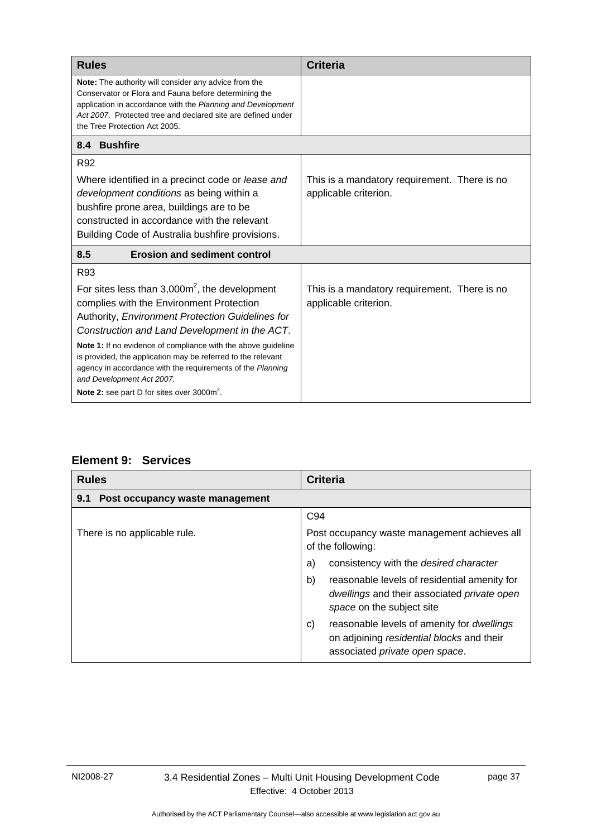<span id="page-40-0"></span>

| <b>Rules</b>                                                                                                                                                                                                                                                                                     | <b>Criteria</b>                                                       |  |
|--------------------------------------------------------------------------------------------------------------------------------------------------------------------------------------------------------------------------------------------------------------------------------------------------|-----------------------------------------------------------------------|--|
| <b>Note:</b> The authority will consider any advice from the<br>Conservator or Flora and Fauna before determining the<br>application in accordance with the Planning and Development<br>Act 2007. Protected tree and declared site are defined under<br>the Tree Protection Act 2005.            |                                                                       |  |
| 8.4 Bushfire                                                                                                                                                                                                                                                                                     |                                                                       |  |
| R92<br>Where identified in a precinct code or lease and<br>development conditions as being within a<br>bushfire prone area, buildings are to be<br>constructed in accordance with the relevant<br>Building Code of Australia bushfire provisions.                                                | This is a mandatory requirement. There is no<br>applicable criterion. |  |
| <b>Erosion and sediment control</b><br>8.5                                                                                                                                                                                                                                                       |                                                                       |  |
| R93                                                                                                                                                                                                                                                                                              |                                                                       |  |
| For sites less than $3,000m^2$ , the development<br>complies with the Environment Protection<br>Authority, Environment Protection Guidelines for<br>Construction and Land Development in the ACT.                                                                                                | This is a mandatory requirement. There is no<br>applicable criterion. |  |
| <b>Note 1:</b> If no evidence of compliance with the above guideline<br>is provided, the application may be referred to the relevant<br>agency in accordance with the requirements of the Planning<br>and Development Act 2007.<br><b>Note 2:</b> see part D for sites over 3000m <sup>2</sup> . |                                                                       |  |

<span id="page-40-1"></span>

<span id="page-40-3"></span><span id="page-40-2"></span>

| <b>Rules</b>                           | <b>Criteria</b>                                                                                                                        |
|----------------------------------------|----------------------------------------------------------------------------------------------------------------------------------------|
| Post occupancy waste management<br>9.1 |                                                                                                                                        |
|                                        | C94                                                                                                                                    |
| There is no applicable rule.           | Post occupancy waste management achieves all<br>of the following:                                                                      |
|                                        | consistency with the <i>desired character</i><br>a)                                                                                    |
|                                        | b)<br>reasonable levels of residential amenity for<br>dwellings and their associated private open<br>space on the subject site         |
|                                        | reasonable levels of amenity for <i>dwellings</i><br>C)<br>on adjoining residential blocks and their<br>associated private open space. |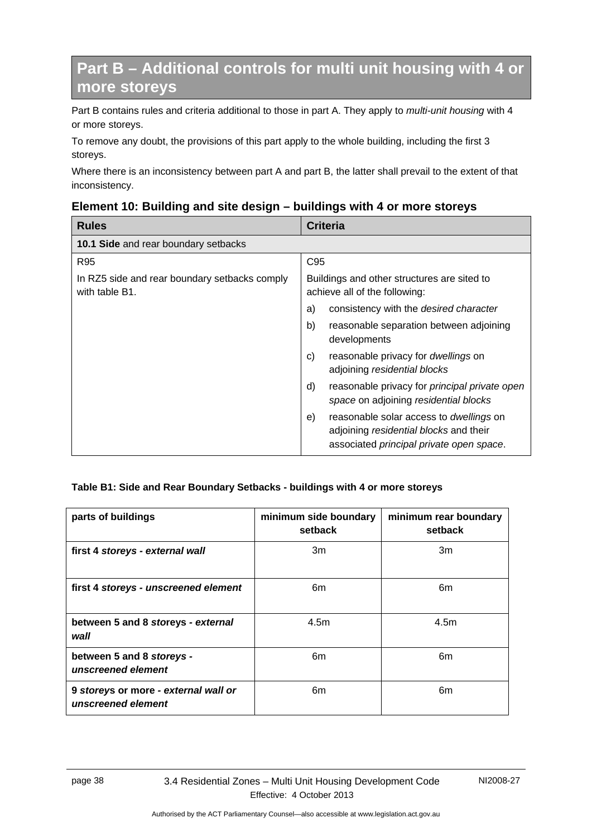# <span id="page-41-0"></span>**Part B – Additional controls for multi unit housing with 4 or more storeys**

Part B contains rules and criteria additional to those in part A. They apply to *multi-unit housing* with 4 or more storeys.

To remove any doubt, the provisions of this part apply to the whole building, including the first 3 storeys.

Where there is an inconsistency between part A and part B, the latter shall prevail to the extent of that inconsistency.

#### <span id="page-41-1"></span>**Element 10: Building and site design – buildings with 4 or more storeys**

<span id="page-41-2"></span>

| <b>Rules</b>                                                    | <b>Criteria</b>                                                                                                                            |  |
|-----------------------------------------------------------------|--------------------------------------------------------------------------------------------------------------------------------------------|--|
| 10.1 Side and rear boundary setbacks                            |                                                                                                                                            |  |
| R95                                                             | C <sub>95</sub>                                                                                                                            |  |
| In RZ5 side and rear boundary setbacks comply<br>with table B1. | Buildings and other structures are sited to<br>achieve all of the following:                                                               |  |
|                                                                 | consistency with the <i>desired character</i><br>a)                                                                                        |  |
|                                                                 | b)<br>reasonable separation between adjoining<br>developments                                                                              |  |
|                                                                 | reasonable privacy for <i>dwellings</i> on<br>C)<br>adjoining residential blocks                                                           |  |
|                                                                 | d)<br>reasonable privacy for principal private open<br>space on adjoining residential blocks                                               |  |
|                                                                 | reasonable solar access to <i>dwellings</i> on<br>e)<br>adjoining residential blocks and their<br>associated principal private open space. |  |

#### **Table B1: Side and Rear Boundary Setbacks - buildings with 4 or more storeys**

| parts of buildings                                         | minimum side boundary<br>setback | minimum rear boundary<br>setback |
|------------------------------------------------------------|----------------------------------|----------------------------------|
| first 4 storeys - external wall                            | 3m                               | 3m                               |
| first 4 storeys - unscreened element                       | 6m                               | 6m                               |
| between 5 and 8 storeys - external<br>wall                 | 4.5m                             | 4.5m                             |
| between 5 and 8 storeys -<br>unscreened element            | 6m                               | 6m                               |
| 9 storeys or more - external wall or<br>unscreened element | 6m                               | 6m                               |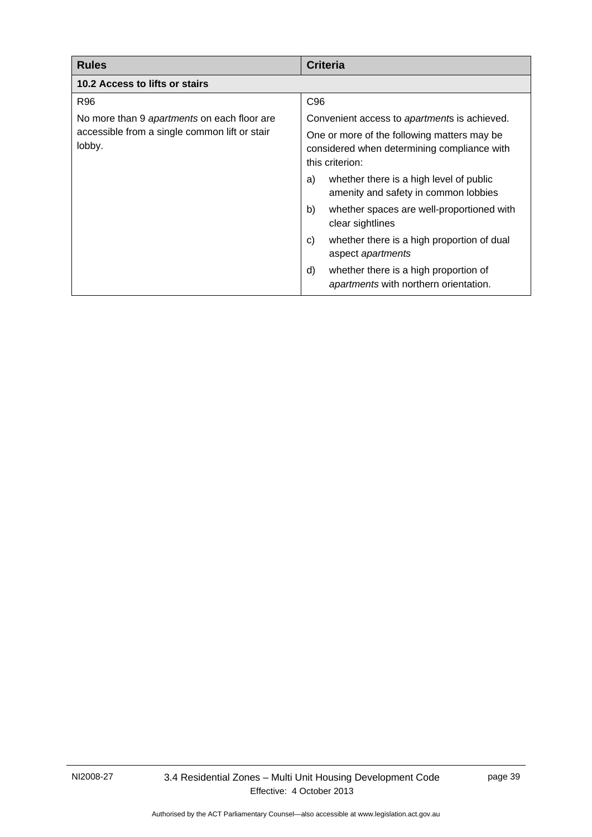<span id="page-42-0"></span>

| <b>Rules</b>                                                                                           | <b>Criteria</b>                                                                                               |  |
|--------------------------------------------------------------------------------------------------------|---------------------------------------------------------------------------------------------------------------|--|
| 10.2 Access to lifts or stairs                                                                         |                                                                                                               |  |
| R96                                                                                                    | C <sub>96</sub>                                                                                               |  |
| No more than 9 apartments on each floor are<br>accessible from a single common lift or stair<br>lobby. | Convenient access to apartments is achieved.                                                                  |  |
|                                                                                                        | One or more of the following matters may be<br>considered when determining compliance with<br>this criterion: |  |
|                                                                                                        | whether there is a high level of public<br>a)<br>amenity and safety in common lobbies                         |  |
|                                                                                                        | b)<br>whether spaces are well-proportioned with<br>clear sightlines                                           |  |
|                                                                                                        | whether there is a high proportion of dual<br>C)<br>aspect apartments                                         |  |
|                                                                                                        | d)<br>whether there is a high proportion of<br>apartments with northern orientation.                          |  |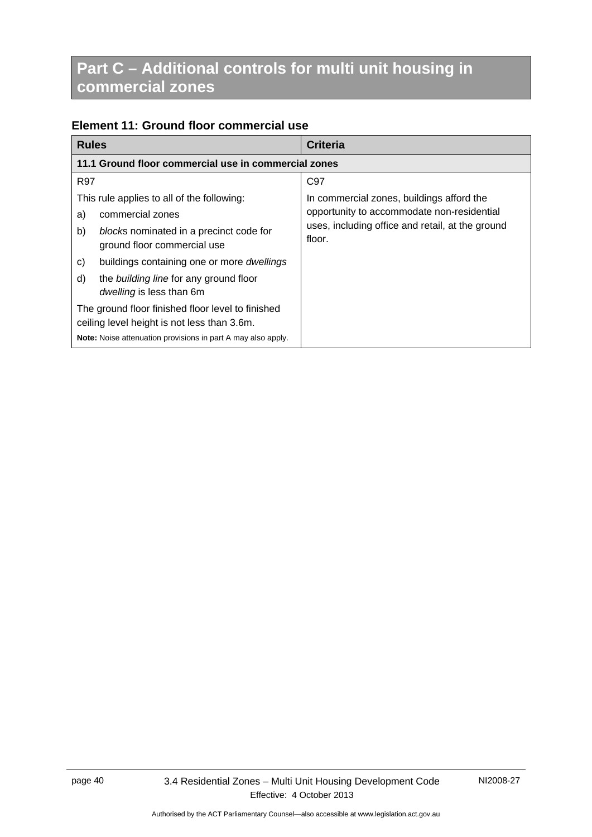### <span id="page-43-0"></span>**Part C – Additional controls for multi unit housing in commercial zones**

<span id="page-43-1"></span>

|  |  | <b>Element 11: Ground floor commercial use</b> |
|--|--|------------------------------------------------|
|--|--|------------------------------------------------|

<span id="page-43-2"></span>

| <b>Rules</b>                                                                                     | Criteria                                                   |  |
|--------------------------------------------------------------------------------------------------|------------------------------------------------------------|--|
| 11.1 Ground floor commercial use in commercial zones                                             |                                                            |  |
| R97                                                                                              | C97                                                        |  |
| This rule applies to all of the following:                                                       | In commercial zones, buildings afford the                  |  |
| commercial zones<br>a)                                                                           | opportunity to accommodate non-residential                 |  |
| b)<br>blocks nominated in a precinct code for<br>ground floor commercial use                     | uses, including office and retail, at the ground<br>floor. |  |
| buildings containing one or more dwellings<br>C)                                                 |                                                            |  |
| the building line for any ground floor<br>d)<br>dwelling is less than 6m                         |                                                            |  |
| The ground floor finished floor level to finished<br>ceiling level height is not less than 3.6m. |                                                            |  |
| <b>Note:</b> Noise attenuation provisions in part A may also apply.                              |                                                            |  |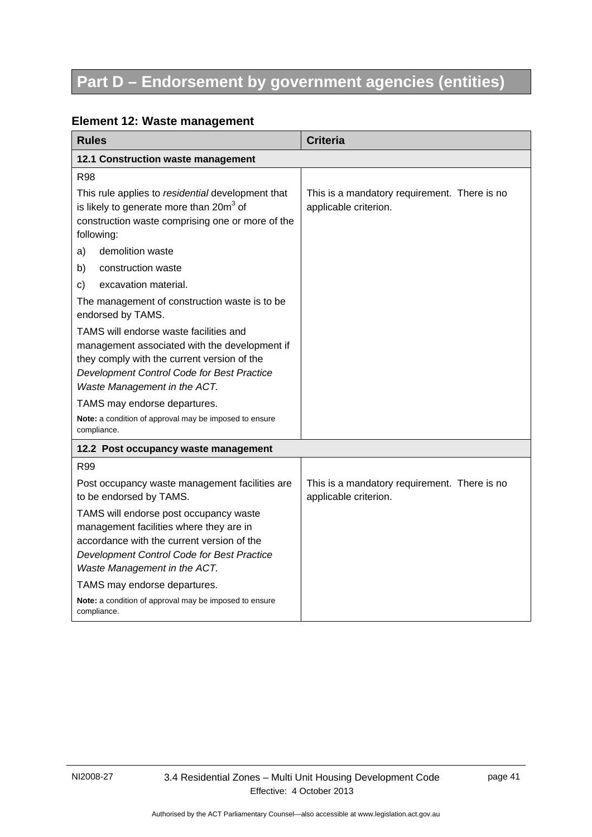# <span id="page-44-0"></span>**Part D – Endorsement by government agencies (entities)**

#### <span id="page-44-1"></span>**Element 12: Waste management**

<span id="page-44-3"></span><span id="page-44-2"></span>

| <b>Rules</b>                                                                                                                                                                                                         | <b>Criteria</b>                                                       |
|----------------------------------------------------------------------------------------------------------------------------------------------------------------------------------------------------------------------|-----------------------------------------------------------------------|
| 12.1 Construction waste management                                                                                                                                                                                   |                                                                       |
| <b>R98</b>                                                                                                                                                                                                           |                                                                       |
| This rule applies to residential development that<br>is likely to generate more than 20m <sup>3</sup> of<br>construction waste comprising one or more of the<br>following:                                           | This is a mandatory requirement. There is no<br>applicable criterion. |
| demolition waste<br>a)                                                                                                                                                                                               |                                                                       |
| construction waste<br>b)                                                                                                                                                                                             |                                                                       |
| excavation material.<br>C)                                                                                                                                                                                           |                                                                       |
| The management of construction waste is to be<br>endorsed by TAMS.                                                                                                                                                   |                                                                       |
| TAMS will endorse waste facilities and<br>management associated with the development if<br>they comply with the current version of the<br>Development Control Code for Best Practice<br>Waste Management in the ACT. |                                                                       |
| TAMS may endorse departures.                                                                                                                                                                                         |                                                                       |
| Note: a condition of approval may be imposed to ensure<br>compliance.                                                                                                                                                |                                                                       |
| 12.2 Post occupancy waste management                                                                                                                                                                                 |                                                                       |
| R99                                                                                                                                                                                                                  |                                                                       |
| Post occupancy waste management facilities are<br>to be endorsed by TAMS.                                                                                                                                            | This is a mandatory requirement. There is no<br>applicable criterion. |
| TAMS will endorse post occupancy waste<br>management facilities where they are in<br>accordance with the current version of the<br>Development Control Code for Best Practice<br>Waste Management in the ACT.        |                                                                       |
| TAMS may endorse departures.<br>Note: a condition of approval may be imposed to ensure                                                                                                                               |                                                                       |
| compliance.                                                                                                                                                                                                          |                                                                       |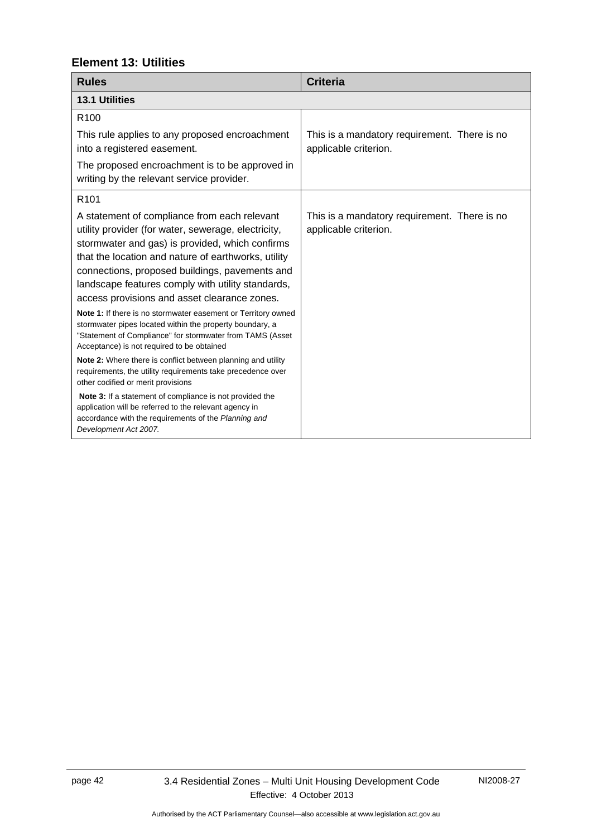#### <span id="page-45-0"></span>**Element 13: Utilities**

<span id="page-45-1"></span>

| <b>Rules</b>                                                                                                                                                                                                                                                                                                                                                                                                                                                                                                                                                                                                 | <b>Criteria</b>                                                       |
|--------------------------------------------------------------------------------------------------------------------------------------------------------------------------------------------------------------------------------------------------------------------------------------------------------------------------------------------------------------------------------------------------------------------------------------------------------------------------------------------------------------------------------------------------------------------------------------------------------------|-----------------------------------------------------------------------|
| <b>13.1 Utilities</b>                                                                                                                                                                                                                                                                                                                                                                                                                                                                                                                                                                                        |                                                                       |
| R <sub>100</sub>                                                                                                                                                                                                                                                                                                                                                                                                                                                                                                                                                                                             |                                                                       |
| This rule applies to any proposed encroachment<br>into a registered easement.                                                                                                                                                                                                                                                                                                                                                                                                                                                                                                                                | This is a mandatory requirement. There is no<br>applicable criterion. |
| The proposed encroachment is to be approved in<br>writing by the relevant service provider.                                                                                                                                                                                                                                                                                                                                                                                                                                                                                                                  |                                                                       |
| R <sub>101</sub>                                                                                                                                                                                                                                                                                                                                                                                                                                                                                                                                                                                             |                                                                       |
| A statement of compliance from each relevant<br>utility provider (for water, sewerage, electricity,<br>stormwater and gas) is provided, which confirms<br>that the location and nature of earthworks, utility<br>connections, proposed buildings, pavements and<br>landscape features comply with utility standards,<br>access provisions and asset clearance zones.<br>Note 1: If there is no stormwater easement or Territory owned<br>stormwater pipes located within the property boundary, a<br>"Statement of Compliance" for stormwater from TAMS (Asset<br>Acceptance) is not required to be obtained | This is a mandatory requirement. There is no<br>applicable criterion. |
| Note 2: Where there is conflict between planning and utility<br>requirements, the utility requirements take precedence over<br>other codified or merit provisions                                                                                                                                                                                                                                                                                                                                                                                                                                            |                                                                       |
| Note 3: If a statement of compliance is not provided the<br>application will be referred to the relevant agency in<br>accordance with the requirements of the Planning and<br>Development Act 2007.                                                                                                                                                                                                                                                                                                                                                                                                          |                                                                       |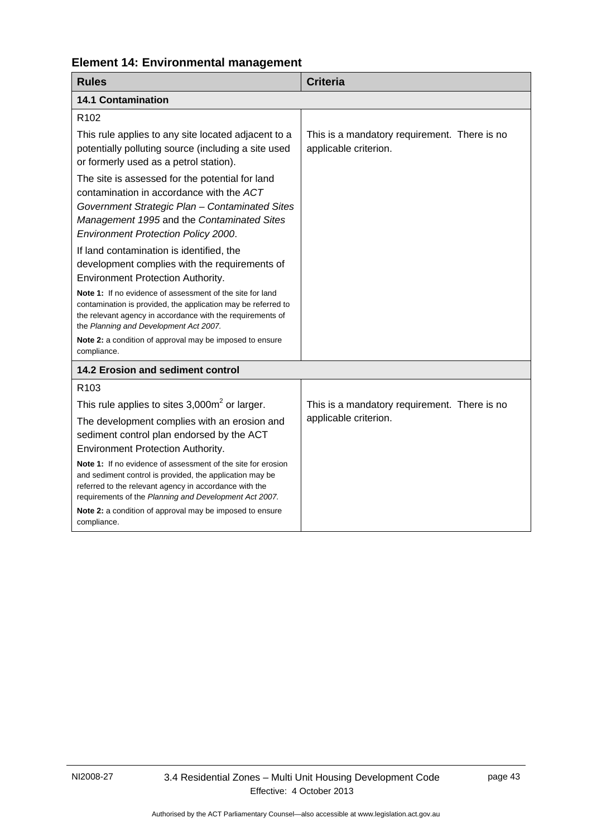#### <span id="page-46-0"></span>**Element 14: Environmental management**

<span id="page-46-2"></span><span id="page-46-1"></span>

| <b>Rules</b>                                                                                                                                                                                                                                        | <b>Criteria</b>                                                       |
|-----------------------------------------------------------------------------------------------------------------------------------------------------------------------------------------------------------------------------------------------------|-----------------------------------------------------------------------|
| <b>14.1 Contamination</b>                                                                                                                                                                                                                           |                                                                       |
| R <sub>102</sub>                                                                                                                                                                                                                                    |                                                                       |
| This rule applies to any site located adjacent to a<br>potentially polluting source (including a site used<br>or formerly used as a petrol station).                                                                                                | This is a mandatory requirement. There is no<br>applicable criterion. |
| The site is assessed for the potential for land<br>contamination in accordance with the ACT<br>Government Strategic Plan - Contaminated Sites<br>Management 1995 and the Contaminated Sites<br><b>Environment Protection Policy 2000.</b>           |                                                                       |
| If land contamination is identified, the<br>development complies with the requirements of<br>Environment Protection Authority.                                                                                                                      |                                                                       |
| Note 1: If no evidence of assessment of the site for land<br>contamination is provided, the application may be referred to<br>the relevant agency in accordance with the requirements of<br>the Planning and Development Act 2007.                  |                                                                       |
| Note 2: a condition of approval may be imposed to ensure<br>compliance.                                                                                                                                                                             |                                                                       |
| 14.2 Erosion and sediment control                                                                                                                                                                                                                   |                                                                       |
| R <sub>103</sub>                                                                                                                                                                                                                                    |                                                                       |
| This rule applies to sites $3,000\text{m}^2$ or larger.                                                                                                                                                                                             | This is a mandatory requirement. There is no                          |
| The development complies with an erosion and<br>sediment control plan endorsed by the ACT<br>Environment Protection Authority.                                                                                                                      | applicable criterion.                                                 |
| <b>Note 1:</b> If no evidence of assessment of the site for erosion<br>and sediment control is provided, the application may be<br>referred to the relevant agency in accordance with the<br>requirements of the Planning and Development Act 2007. |                                                                       |
| Note 2: a condition of approval may be imposed to ensure<br>compliance.                                                                                                                                                                             |                                                                       |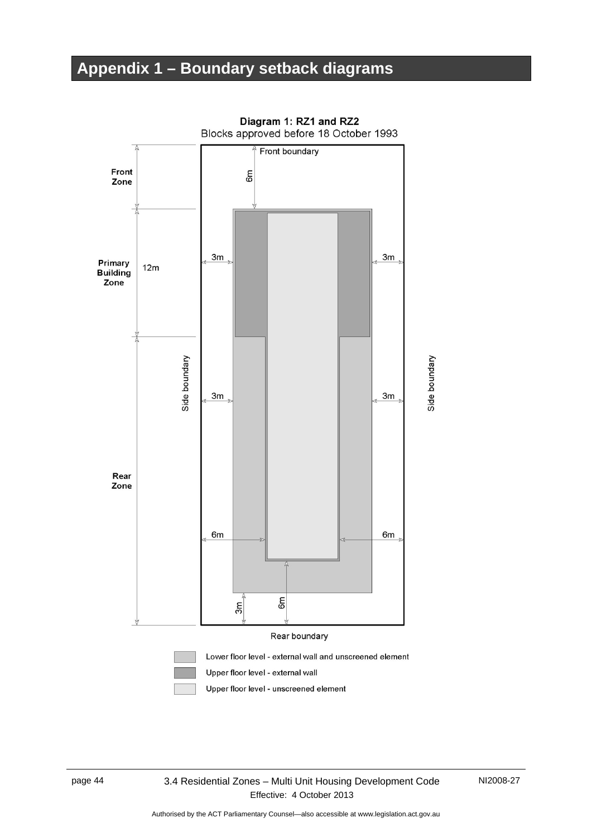# <span id="page-47-0"></span>**Appendix 1 – Boundary setback diagrams**



Diagram 1: RZ1 and RZ2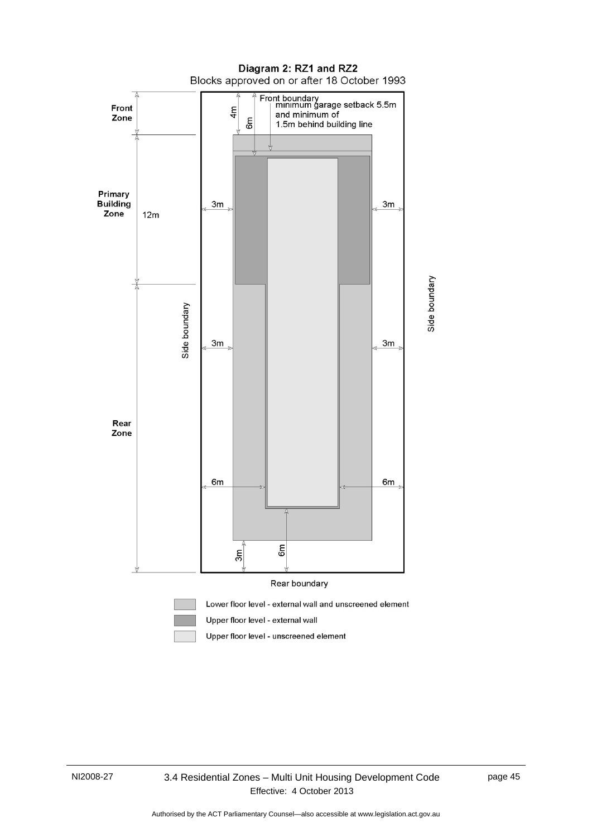